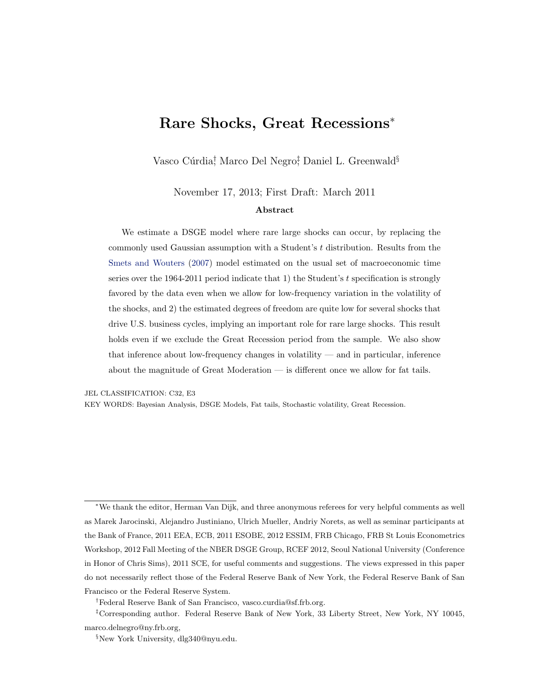# Rare Shocks, Great Recessions<sup>∗</sup>

Vasco Cúrdia<sup>†</sup> Marco Del Negro<sup>‡</sup> Daniel L. Greenwald<sup>§</sup>

November 17, 2013; First Draft: March 2011

#### Abstract

We estimate a DSGE model where rare large shocks can occur, by replacing the commonly used Gaussian assumption with a Student's t distribution. Results from the [Smets and Wouters](#page-27-0) [\(2007\)](#page-27-0) model estimated on the usual set of macroeconomic time series over the 1964-2011 period indicate that 1) the Student's  $t$  specification is strongly favored by the data even when we allow for low-frequency variation in the volatility of the shocks, and 2) the estimated degrees of freedom are quite low for several shocks that drive U.S. business cycles, implying an important role for rare large shocks. This result holds even if we exclude the Great Recession period from the sample. We also show that inference about low-frequency changes in volatility — and in particular, inference about the magnitude of Great Moderation — is different once we allow for fat tails.

JEL CLASSIFICATION: C32, E3

KEY WORDS: Bayesian Analysis, DSGE Models, Fat tails, Stochastic volatility, Great Recession.

<sup>∗</sup>We thank the editor, Herman Van Dijk, and three anonymous referees for very helpful comments as well as Marek Jarocinski, Alejandro Justiniano, Ulrich Mueller, Andriy Norets, as well as seminar participants at the Bank of France, 2011 EEA, ECB, 2011 ESOBE, 2012 ESSIM, FRB Chicago, FRB St Louis Econometrics Workshop, 2012 Fall Meeting of the NBER DSGE Group, RCEF 2012, Seoul National University (Conference in Honor of Chris Sims), 2011 SCE, for useful comments and suggestions. The views expressed in this paper do not necessarily reflect those of the Federal Reserve Bank of New York, the Federal Reserve Bank of San Francisco or the Federal Reserve System.

†Federal Reserve Bank of San Francisco, vasco.curdia@sf.frb.org.

‡Corresponding author. Federal Reserve Bank of New York, 33 Liberty Street, New York, NY 10045, marco.delnegro@ny.frb.org,

<sup>§</sup>New York University, dlg340@nyu.edu.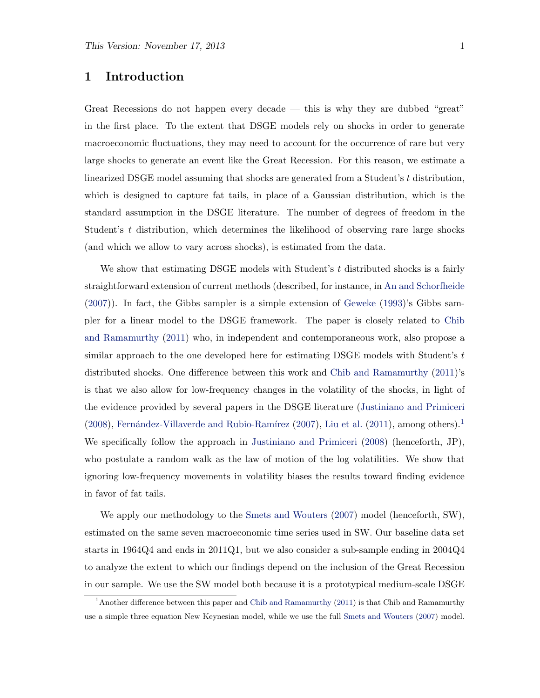# 1 Introduction

Great Recessions do not happen every decade — this is why they are dubbed "great" in the first place. To the extent that DSGE models rely on shocks in order to generate macroeconomic fluctuations, they may need to account for the occurrence of rare but very large shocks to generate an event like the Great Recession. For this reason, we estimate a linearized DSGE model assuming that shocks are generated from a Student's t distribution, which is designed to capture fat tails, in place of a Gaussian distribution, which is the standard assumption in the DSGE literature. The number of degrees of freedom in the Student's t distribution, which determines the likelihood of observing rare large shocks (and which we allow to vary across shocks), is estimated from the data.

We show that estimating DSGE models with Student's  $t$  distributed shocks is a fairly straightforward extension of current methods (described, for instance, in [An and Schorfheide](#page-24-0) [\(2007\)](#page-24-0)). In fact, the Gibbs sampler is a simple extension of [Geweke](#page-25-0) [\(1993\)](#page-25-0)'s Gibbs sampler for a linear model to the DSGE framework. The paper is closely related to [Chib](#page-24-1) [and Ramamurthy](#page-24-1) [\(2011\)](#page-24-1) who, in independent and contemporaneous work, also propose a similar approach to the one developed here for estimating DSGE models with Student's t distributed shocks. One difference between this work and [Chib and Ramamurthy](#page-24-1) [\(2011\)](#page-24-1)'s is that we also allow for low-frequency changes in the volatility of the shocks, in light of the evidence provided by several papers in the DSGE literature [\(Justiniano and Primiceri](#page-26-0)  $(2008)$ , Fernández-Villaverde and Rubio-Ramírez  $(2007)$ , [Liu et al.](#page-26-1)  $(2011)$ , among others).<sup>[1](#page-1-0)</sup> We specifically follow the approach in [Justiniano and Primiceri](#page-26-0) [\(2008\)](#page-26-0) (henceforth, JP), who postulate a random walk as the law of motion of the log volatilities. We show that ignoring low-frequency movements in volatility biases the results toward finding evidence in favor of fat tails.

We apply our methodology to the [Smets and Wouters](#page-27-0) [\(2007\)](#page-27-0) model (henceforth, SW), estimated on the same seven macroeconomic time series used in SW. Our baseline data set starts in 1964Q4 and ends in 2011Q1, but we also consider a sub-sample ending in 2004Q4 to analyze the extent to which our findings depend on the inclusion of the Great Recession in our sample. We use the SW model both because it is a prototypical medium-scale DSGE

<span id="page-1-0"></span><sup>&</sup>lt;sup>1</sup> Another difference between this paper and [Chib and Ramamurthy](#page-24-1) [\(2011\)](#page-24-1) is that Chib and Ramamurthy use a simple three equation New Keynesian model, while we use the full [Smets and Wouters](#page-27-0) [\(2007\)](#page-27-0) model.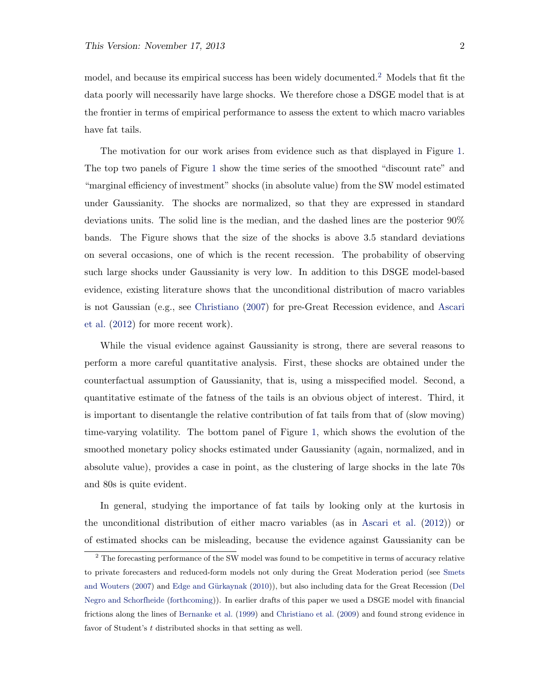model, and because its empirical success has been widely documented.<sup>[2](#page-2-0)</sup> Models that fit the data poorly will necessarily have large shocks. We therefore chose a DSGE model that is at the frontier in terms of empirical performance to assess the extent to which macro variables have fat tails.

The motivation for our work arises from evidence such as that displayed in Figure [1.](#page-29-0) The top two panels of Figure [1](#page-29-0) show the time series of the smoothed "discount rate" and "marginal efficiency of investment" shocks (in absolute value) from the SW model estimated under Gaussianity. The shocks are normalized, so that they are expressed in standard deviations units. The solid line is the median, and the dashed lines are the posterior 90% bands. The Figure shows that the size of the shocks is above 3.5 standard deviations on several occasions, one of which is the recent recession. The probability of observing such large shocks under Gaussianity is very low. In addition to this DSGE model-based evidence, existing literature shows that the unconditional distribution of macro variables is not Gaussian (e.g., see [Christiano](#page-24-2) [\(2007\)](#page-24-2) for pre-Great Recession evidence, and [Ascari](#page-24-3) [et al.](#page-24-3) [\(2012\)](#page-24-3) for more recent work).

While the visual evidence against Gaussianity is strong, there are several reasons to perform a more careful quantitative analysis. First, these shocks are obtained under the counterfactual assumption of Gaussianity, that is, using a misspecified model. Second, a quantitative estimate of the fatness of the tails is an obvious object of interest. Third, it is important to disentangle the relative contribution of fat tails from that of (slow moving) time-varying volatility. The bottom panel of Figure [1,](#page-29-0) which shows the evolution of the smoothed monetary policy shocks estimated under Gaussianity (again, normalized, and in absolute value), provides a case in point, as the clustering of large shocks in the late 70s and 80s is quite evident.

In general, studying the importance of fat tails by looking only at the kurtosis in the unconditional distribution of either macro variables (as in [Ascari et al.](#page-24-3) [\(2012\)](#page-24-3)) or of estimated shocks can be misleading, because the evidence against Gaussianity can be

<span id="page-2-0"></span><sup>&</sup>lt;sup>2</sup> The forecasting performance of the SW model was found to be competitive in terms of accuracy relative to private forecasters and reduced-form models not only during the Great Moderation period (see [Smets](#page-27-0) [and Wouters](#page-27-0) [\(2007\)](#page-27-0) and Edge and Gürkaynak [\(2010\)](#page-25-2)), but also including data for the Great Recession [\(Del](#page-25-3) [Negro and Schorfheide](#page-25-3) [\(forthcoming\)](#page-25-3)). In earlier drafts of this paper we used a DSGE model with financial frictions along the lines of [Bernanke et al.](#page-24-4) [\(1999\)](#page-24-4) and [Christiano et al.](#page-24-5) [\(2009\)](#page-24-5) and found strong evidence in favor of Student's t distributed shocks in that setting as well.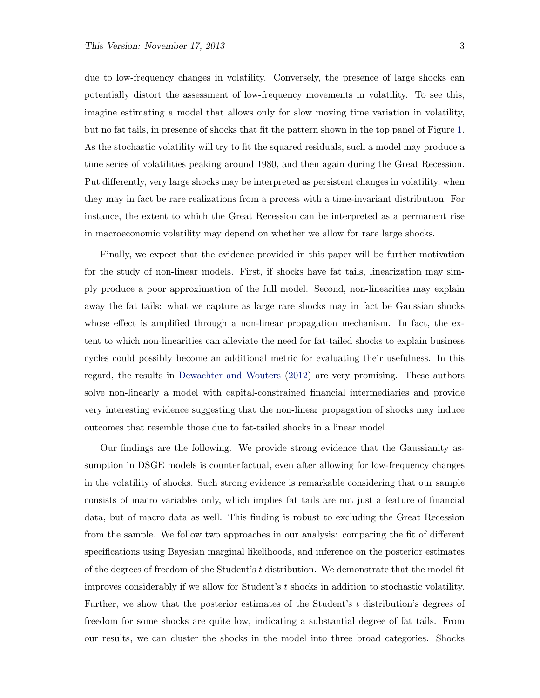due to low-frequency changes in volatility. Conversely, the presence of large shocks can potentially distort the assessment of low-frequency movements in volatility. To see this, imagine estimating a model that allows only for slow moving time variation in volatility, but no fat tails, in presence of shocks that fit the pattern shown in the top panel of Figure [1.](#page-29-0) As the stochastic volatility will try to fit the squared residuals, such a model may produce a time series of volatilities peaking around 1980, and then again during the Great Recession. Put differently, very large shocks may be interpreted as persistent changes in volatility, when they may in fact be rare realizations from a process with a time-invariant distribution. For instance, the extent to which the Great Recession can be interpreted as a permanent rise in macroeconomic volatility may depend on whether we allow for rare large shocks.

Finally, we expect that the evidence provided in this paper will be further motivation for the study of non-linear models. First, if shocks have fat tails, linearization may simply produce a poor approximation of the full model. Second, non-linearities may explain away the fat tails: what we capture as large rare shocks may in fact be Gaussian shocks whose effect is amplified through a non-linear propagation mechanism. In fact, the extent to which non-linearities can alleviate the need for fat-tailed shocks to explain business cycles could possibly become an additional metric for evaluating their usefulness. In this regard, the results in [Dewachter and Wouters](#page-25-4) [\(2012\)](#page-25-4) are very promising. These authors solve non-linearly a model with capital-constrained financial intermediaries and provide very interesting evidence suggesting that the non-linear propagation of shocks may induce outcomes that resemble those due to fat-tailed shocks in a linear model.

Our findings are the following. We provide strong evidence that the Gaussianity assumption in DSGE models is counterfactual, even after allowing for low-frequency changes in the volatility of shocks. Such strong evidence is remarkable considering that our sample consists of macro variables only, which implies fat tails are not just a feature of financial data, but of macro data as well. This finding is robust to excluding the Great Recession from the sample. We follow two approaches in our analysis: comparing the fit of different specifications using Bayesian marginal likelihoods, and inference on the posterior estimates of the degrees of freedom of the Student's t distribution. We demonstrate that the model fit improves considerably if we allow for Student's  $t$  shocks in addition to stochastic volatility. Further, we show that the posterior estimates of the Student's  $t$  distribution's degrees of freedom for some shocks are quite low, indicating a substantial degree of fat tails. From our results, we can cluster the shocks in the model into three broad categories. Shocks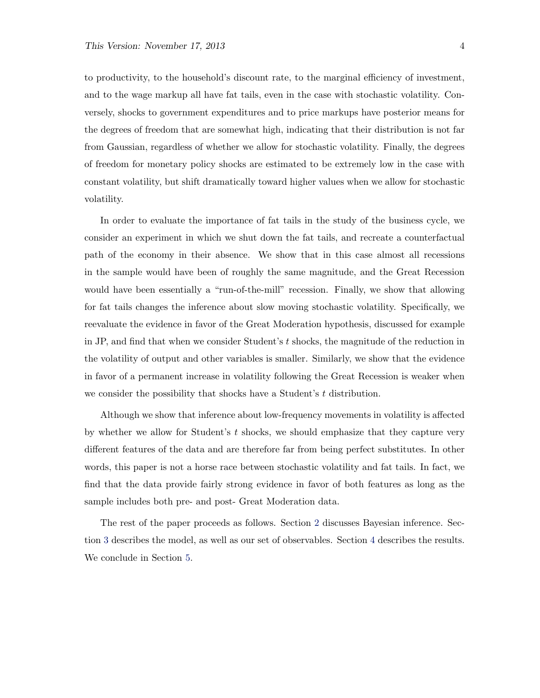to productivity, to the household's discount rate, to the marginal efficiency of investment, and to the wage markup all have fat tails, even in the case with stochastic volatility. Conversely, shocks to government expenditures and to price markups have posterior means for the degrees of freedom that are somewhat high, indicating that their distribution is not far from Gaussian, regardless of whether we allow for stochastic volatility. Finally, the degrees of freedom for monetary policy shocks are estimated to be extremely low in the case with constant volatility, but shift dramatically toward higher values when we allow for stochastic volatility.

In order to evaluate the importance of fat tails in the study of the business cycle, we consider an experiment in which we shut down the fat tails, and recreate a counterfactual path of the economy in their absence. We show that in this case almost all recessions in the sample would have been of roughly the same magnitude, and the Great Recession would have been essentially a "run-of-the-mill" recession. Finally, we show that allowing for fat tails changes the inference about slow moving stochastic volatility. Specifically, we reevaluate the evidence in favor of the Great Moderation hypothesis, discussed for example in JP, and find that when we consider Student's t shocks, the magnitude of the reduction in the volatility of output and other variables is smaller. Similarly, we show that the evidence in favor of a permanent increase in volatility following the Great Recession is weaker when we consider the possibility that shocks have a Student's t distribution.

Although we show that inference about low-frequency movements in volatility is affected by whether we allow for Student's t shocks, we should emphasize that they capture very different features of the data and are therefore far from being perfect substitutes. In other words, this paper is not a horse race between stochastic volatility and fat tails. In fact, we find that the data provide fairly strong evidence in favor of both features as long as the sample includes both pre- and post- Great Moderation data.

The rest of the paper proceeds as follows. Section [2](#page-5-0) discusses Bayesian inference. Section [3](#page-10-0) describes the model, as well as our set of observables. Section [4](#page-11-0) describes the results. We conclude in Section [5.](#page-23-0)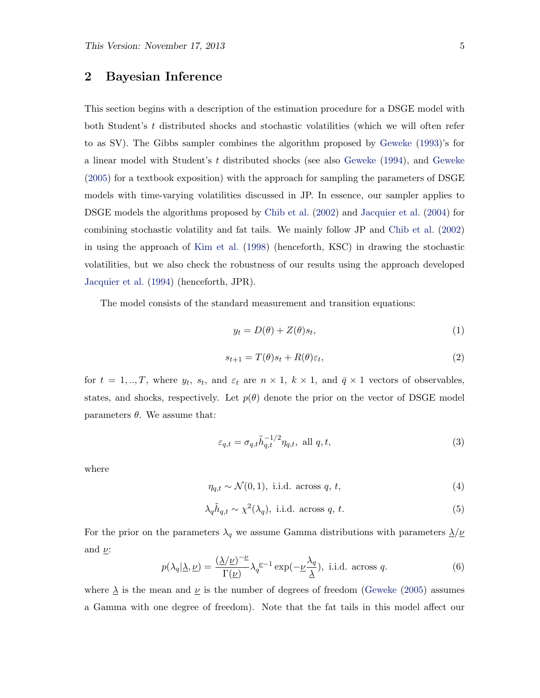## <span id="page-5-0"></span>2 Bayesian Inference

This section begins with a description of the estimation procedure for a DSGE model with both Student's t distributed shocks and stochastic volatilities (which we will often refer to as SV). The Gibbs sampler combines the algorithm proposed by [Geweke](#page-25-0) [\(1993\)](#page-25-0)'s for a linear model with Student's t distributed shocks (see also [Geweke](#page-25-5) [\(1994\)](#page-25-5), and [Geweke](#page-26-2) [\(2005\)](#page-26-2) for a textbook exposition) with the approach for sampling the parameters of DSGE models with time-varying volatilities discussed in JP. In essence, our sampler applies to DSGE models the algorithms proposed by [Chib et al.](#page-24-6) [\(2002\)](#page-24-6) and [Jacquier et al.](#page-26-3) [\(2004\)](#page-26-3) for combining stochastic volatility and fat tails. We mainly follow JP and [Chib et al.](#page-24-6) [\(2002\)](#page-24-6) in using the approach of [Kim et al.](#page-26-4) [\(1998\)](#page-26-4) (henceforth, KSC) in drawing the stochastic volatilities, but we also check the robustness of our results using the approach developed [Jacquier et al.](#page-26-5) [\(1994\)](#page-26-5) (henceforth, JPR).

The model consists of the standard measurement and transition equations:

<span id="page-5-4"></span>
$$
y_t = D(\theta) + Z(\theta)s_t,
$$
\n(1)

<span id="page-5-5"></span>
$$
s_{t+1} = T(\theta)s_t + R(\theta)\varepsilon_t,\tag{2}
$$

for  $t = 1, ..., T$ , where  $y_t$ ,  $s_t$ , and  $\varepsilon_t$  are  $n \times 1$ ,  $k \times 1$ , and  $\overline{q} \times 1$  vectors of observables, states, and shocks, respectively. Let  $p(\theta)$  denote the prior on the vector of DSGE model parameters  $\theta$ . We assume that:

<span id="page-5-1"></span>
$$
\varepsilon_{q,t} = \sigma_{q,t} \tilde{h}_{q,t}^{-1/2} \eta_{q,t}, \text{ all } q, t,
$$
\n(3)

where

<span id="page-5-2"></span>
$$
\eta_{q,t} \sim \mathcal{N}(0,1), \text{ i.i.d. across } q, t,
$$
\n
$$
(4)
$$

<span id="page-5-3"></span>
$$
\lambda_q \tilde{h}_{q,t} \sim \chi^2(\lambda_q), \text{ i.i.d. across } q, t. \tag{5}
$$

For the prior on the parameters  $\lambda_q$  we assume Gamma distributions with parameters  $\lambda/\nu$ and  $\nu$ :

<span id="page-5-6"></span>
$$
p(\lambda_q | \underline{\lambda}, \underline{\nu}) = \frac{(\underline{\lambda}/\underline{\nu})^{-\underline{\nu}}}{\Gamma(\underline{\nu})} \lambda_q^{\underline{\nu}-1} \exp(-\underline{\nu}\frac{\lambda_q}{\underline{\lambda}}), \text{ i.i.d. across } q. \tag{6}
$$

where  $\underline{\lambda}$  is the mean and  $\underline{\nu}$  is the number of degrees of freedom [\(Geweke](#page-26-2) [\(2005\)](#page-26-2) assumes a Gamma with one degree of freedom). Note that the fat tails in this model affect our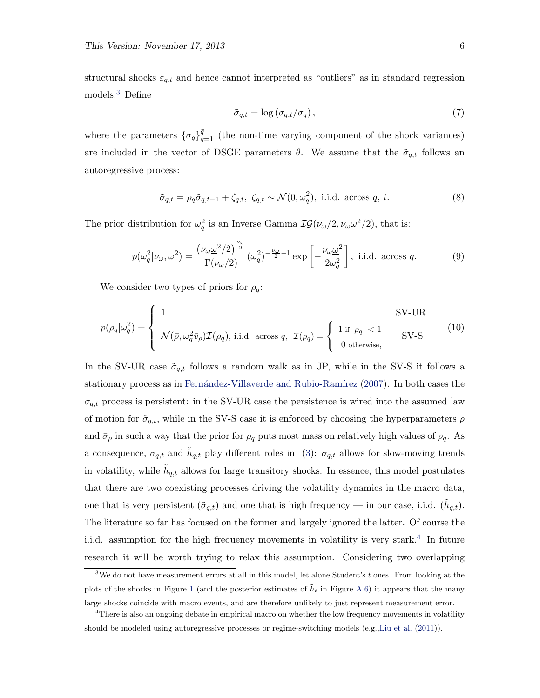structural shocks  $\varepsilon_{q,t}$  and hence cannot interpreted as "outliers" as in standard regression models.[3](#page-6-0) Define

$$
\tilde{\sigma}_{q,t} = \log \left( \sigma_{q,t} / \sigma_q \right),\tag{7}
$$

where the parameters  $\{\sigma_q\}_{q=1}^{\bar{q}}$  (the non-time varying component of the shock variances) are included in the vector of DSGE parameters  $\theta$ . We assume that the  $\tilde{\sigma}_{q,t}$  follows an autoregressive process:

<span id="page-6-2"></span>
$$
\tilde{\sigma}_{q,t} = \rho_q \tilde{\sigma}_{q,t-1} + \zeta_{q,t}, \ \zeta_{q,t} \sim \mathcal{N}(0, \omega_q^2), \ \text{i.i.d. across } q, \ t. \tag{8}
$$

The prior distribution for  $\omega_q^2$  is an Inverse Gamma  $\mathcal{IG}(\nu_\omega/2, \nu_\omega \underline{\omega}^2/2)$ , that is:

<span id="page-6-4"></span>
$$
p(\omega_q^2|\nu_\omega, \underline{\omega}^2) = \frac{(\nu_\omega \underline{\omega}^2/2)^{\frac{\nu_\omega}{2}}}{\Gamma(\nu_\omega/2)} (\omega_q^2)^{-\frac{\nu_\omega}{2}-1} \exp\left[-\frac{\nu_\omega \underline{\omega}^2}{2\omega_q^2}\right], \text{ i.i.d. across } q. \tag{9}
$$

We consider two types of priors for  $\rho_q$ :

<span id="page-6-3"></span>
$$
p(\rho_q|\omega_q^2) = \begin{cases} 1 & \text{SV-UR} \\ \mathcal{N}(\bar{\rho}, \omega_q^2 \bar{v}_\rho) \mathcal{I}(\rho_q), \text{ i.i.d. across } q, \ \mathcal{I}(\rho_q) = \begin{cases} 1 & \text{if } |\rho_q| < 1 \\ 0 & \text{otherwise,} \end{cases} & \text{SV-S} \end{cases}
$$
(10)

In the SV-UR case  $\tilde{\sigma}_{q,t}$  follows a random walk as in JP, while in the SV-S it follows a stationary process as in Fernández-Villaverde and Rubio-Ramírez [\(2007\)](#page-25-1). In both cases the  $\sigma_{q,t}$  process is persistent: in the SV-UR case the persistence is wired into the assumed law of motion for  $\tilde{\sigma}_{q,t}$ , while in the SV-S case it is enforced by choosing the hyperparameters  $\bar{\rho}$ and  $\bar{\sigma}_{\rho}$  in such a way that the prior for  $\rho_q$  puts most mass on relatively high values of  $\rho_q$ . As a consequence,  $\sigma_{q,t}$  and  $\tilde{h}_{q,t}$  play different roles in [\(3\)](#page-5-1):  $\sigma_{q,t}$  allows for slow-moving trends in volatility, while  $\tilde{h}_{q,t}$  allows for large transitory shocks. In essence, this model postulates that there are two coexisting processes driving the volatility dynamics in the macro data, one that is very persistent  $(\tilde{\sigma}_{q,t})$  and one that is high frequency — in our case, i.i.d.  $(\tilde{h}_{q,t})$ . The literature so far has focused on the former and largely ignored the latter. Of course the i.i.d. assumption for the high frequency movements in volatility is very stark.<sup>[4](#page-6-1)</sup> In future research it will be worth trying to relax this assumption. Considering two overlapping

<span id="page-6-0"></span><sup>&</sup>lt;sup>3</sup>We do not have measurement errors at all in this model, let alone Student's  $t$  ones. From looking at the plots of the shocks in Figure [1](#page-29-0) (and the posterior estimates of  $\tilde{h}_t$  in Figure [A.6\)](#page--1-0) it appears that the many large shocks coincide with macro events, and are therefore unlikely to just represent measurement error.

<span id="page-6-1"></span><sup>&</sup>lt;sup>4</sup>There is also an ongoing debate in empirical macro on whether the low frequency movements in volatility should be modeled using autoregressive processes or regime-switching models (e.g.[,Liu et al.](#page-26-1) [\(2011\)](#page-26-1)).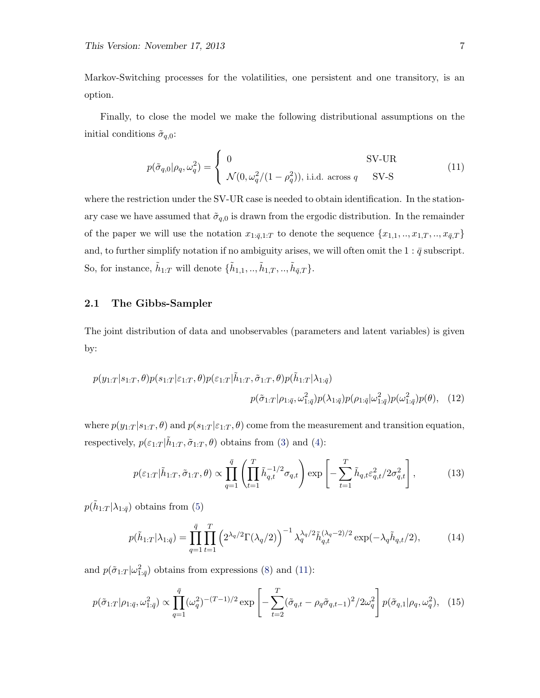Markov-Switching processes for the volatilities, one persistent and one transitory, is an option.

Finally, to close the model we make the following distributional assumptions on the initial conditions  $\tilde{\sigma}_{q,0}$ :

<span id="page-7-0"></span>
$$
p(\tilde{\sigma}_{q,0}|\rho_q, \omega_q^2) = \begin{cases} 0 & \text{SV-UR} \\ \mathcal{N}(0, \omega_q^2/(1-\rho_q^2)), \text{ i.i.d. across } q & \text{SV-S} \end{cases}
$$
(11)

where the restriction under the SV-UR case is needed to obtain identification. In the stationary case we have assumed that  $\tilde{\sigma}_{q,0}$  is drawn from the ergodic distribution. In the remainder of the paper we will use the notation  $x_{1:\bar{q},1:T}$  to denote the sequence  $\{x_{1,1},...,x_{1,T},...,x_{\bar{q},T}\}$ and, to further simplify notation if no ambiguity arises, we will often omit the  $1 : \bar{q}$  subscript. So, for instance,  $\tilde{h}_{1:T}$  will denote  $\{\tilde{h}_{1,1},...,\tilde{h}_{1,T},...,\tilde{h}_{\bar{q},T}\}.$ 

### 2.1 The Gibbs-Sampler

The joint distribution of data and unobservables (parameters and latent variables) is given by:

$$
p(y_{1:T}|s_{1:T},\theta)p(s_{1:T}|\varepsilon_{1:T},\theta)p(\varepsilon_{1:T}|\tilde{h}_{1:T},\tilde{\sigma}_{1:T},\theta)p(\tilde{h}_{1:T}|\lambda_{1:\bar{q}})
$$

$$
p(\tilde{\sigma}_{1:T}|\rho_{1:\bar{q}},\omega_{1:\bar{q}}^2)p(\lambda_{1:\bar{q}})p(\rho_{1:\bar{q}}|\omega_{1:\bar{q}}^2)p(\omega_{1:\bar{q}}^2)p(\theta), \quad (12)
$$

where  $p(y_{1:T} | s_{1:T}, \theta)$  and  $p(s_{1:T} | \varepsilon_{1:T}, \theta)$  come from the measurement and transition equation, respectively,  $p(\varepsilon_{1:T} | \tilde{h}_{1:T}, \tilde{\sigma}_{1:T}, \theta)$  obtains from [\(3\)](#page-5-1) and [\(4\)](#page-5-2):

$$
p(\varepsilon_{1:T}|\tilde{h}_{1:T}, \tilde{\sigma}_{1:T}, \theta) \propto \prod_{q=1}^{\bar{q}} \left( \prod_{t=1}^{T} \tilde{h}_{q,t}^{-1/2} \sigma_{q,t} \right) \exp\left[ -\sum_{t=1}^{T} \tilde{h}_{q,t} \varepsilon_{q,t}^2 / 2\sigma_{q,t}^2 \right],
$$
(13)

 $p(\tilde{h}_{1:T}|\lambda_{1:\bar{q}})$  obtains from [\(5\)](#page-5-3)

$$
p(\tilde{h}_{1:T}|\lambda_{1:\bar{q}}) = \prod_{q=1}^{\bar{q}} \prod_{t=1}^{T} \left( 2^{\lambda_q/2} \Gamma(\lambda_q/2) \right)^{-1} \lambda_q^{\lambda_q/2} \tilde{h}_{q,t}^{(\lambda_q-2)/2} \exp(-\lambda_q \tilde{h}_{q,t}/2), \tag{14}
$$

and  $p(\tilde{\sigma}_{1:T}|\omega_{1:\bar{q}}^2)$  obtains from expressions [\(8\)](#page-6-2) and [\(11\)](#page-7-0):

$$
p(\tilde{\sigma}_{1:T}|\rho_{1:\bar{q}}, \omega_{1:\bar{q}}^2) \propto \prod_{q=1}^{\bar{q}} (\omega_q^2)^{-(T-1)/2} \exp\left[-\sum_{t=2}^T (\tilde{\sigma}_{q,t} - \rho_q \tilde{\sigma}_{q,t-1})^2 / 2\omega_q^2\right] p(\tilde{\sigma}_{q,1}|\rho_q, \omega_q^2), (15)
$$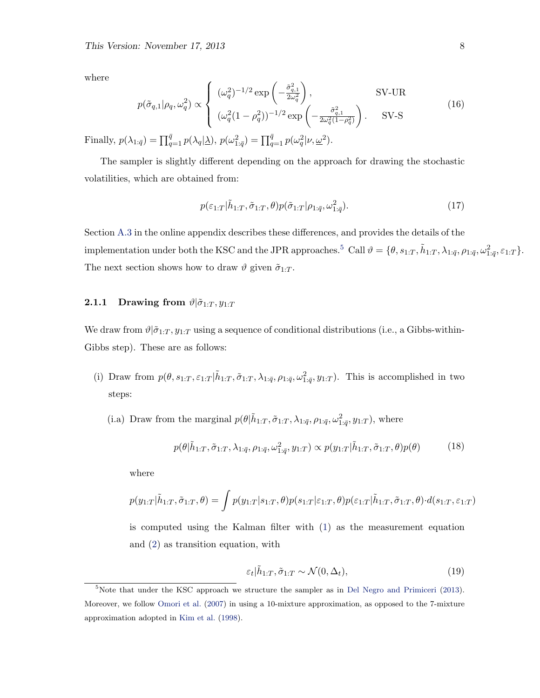where

<span id="page-8-1"></span>
$$
p(\tilde{\sigma}_{q,1}|\rho_q, \omega_q^2) \propto \begin{cases} (\omega_q^2)^{-1/2} \exp\left(-\frac{\tilde{\sigma}_{q,1}^2}{2\omega_q^2}\right), & \text{SV-UR} \\ (\omega_q^2(1-\rho_q^2))^{-1/2} \exp\left(-\frac{\tilde{\sigma}_{q,1}^2}{2\omega_q^2(1-\rho_q^2)}\right). & \text{SV-S} \end{cases}
$$
(16)

Finally,  $p(\lambda_{1:\bar{q}}) = \prod_{q=1}^{\bar{q}} p(\lambda_q | \underline{\lambda}), p(\omega_{1:\bar{q}}^2) = \prod_{q=1}^{\bar{q}} p(\omega_q^2 | \nu, \underline{\omega}^2).$ 

The sampler is slightly different depending on the approach for drawing the stochastic volatilities, which are obtained from:

$$
p(\varepsilon_{1:T}|\tilde{h}_{1:T}, \tilde{\sigma}_{1:T}, \theta)p(\tilde{\sigma}_{1:T}|\rho_{1:\bar{q}}, \omega_{1:\bar{q}}^2). \tag{17}
$$

Section [A.3](#page--1-1) in the online appendix describes these differences, and provides the details of the implementation under both the KSC and the JPR approaches.<sup>[5](#page-8-0)</sup> Call  $\vartheta = \{\theta, s_{1:T}, \tilde{h}_{1:T}, \lambda_{1:\bar{q}}, \rho_{1:\bar{q}}, \omega_{1:\bar{q}}^2, \varepsilon_{1:T}\}.$ The next section shows how to draw  $\vartheta$  given  $\tilde{\sigma}_{1:T}$ .

## 2.1.1 Drawing from  $\vartheta | \tilde{\sigma}_{1:T}, y_{1:T}$

We draw from  $\vartheta|\tilde{\sigma}_{1:T},y_{1:T}$  using a sequence of conditional distributions (i.e., a Gibbs-within-Gibbs step). These are as follows:

- (i) Draw from  $p(\theta, s_{1:T}, \varepsilon_{1:T} | \tilde{h}_{1:T}, \tilde{\sigma}_{1:T}, \lambda_{1:\bar{q}}, \rho_{1:\bar{q}}, \omega_{1:\bar{q}}^2, y_{1:T})$ . This is accomplished in two steps:
	- (i.a) Draw from the marginal  $p(\theta|\tilde{h}_{1:T}, \tilde{\sigma}_{1:T}, \lambda_{1:\bar{q}}, \rho_{1:\bar{q}}, \omega_{1:\bar{q}}^2, y_{1:T})$ , where

$$
p(\theta|\tilde{h}_{1:T}, \tilde{\sigma}_{1:T}, \lambda_{1:\bar{q}}, \rho_{1:\bar{q}}, \omega_{1:\bar{q}}^2, y_{1:T}) \propto p(y_{1:T}|\tilde{h}_{1:T}, \tilde{\sigma}_{1:T}, \theta)p(\theta)
$$
(18)

where

$$
p(y_{1:T}|\tilde{h}_{1:T}, \tilde{\sigma}_{1:T}, \theta) = \int p(y_{1:T}|s_{1:T}, \theta) p(s_{1:T}|\varepsilon_{1:T}, \theta) p(\varepsilon_{1:T}|\tilde{h}_{1:T}, \tilde{\sigma}_{1:T}, \theta) \cdot d(s_{1:T}, \varepsilon_{1:T})
$$

is computed using the Kalman filter with [\(1\)](#page-5-4) as the measurement equation and [\(2\)](#page-5-5) as transition equation, with

$$
\varepsilon_t | \tilde{h}_{1:T}, \tilde{\sigma}_{1:T} \sim \mathcal{N}(0, \Delta_t), \tag{19}
$$

<span id="page-8-0"></span> $5$ Note that under the KSC approach we structure the sampler as in [Del Negro and Primiceri](#page-25-6) [\(2013\)](#page-25-6). Moreover, we follow [Omori et al.](#page-26-6) [\(2007\)](#page-26-6) in using a 10-mixture approximation, as opposed to the 7-mixture approximation adopted in [Kim et al.](#page-26-4) [\(1998\)](#page-26-4).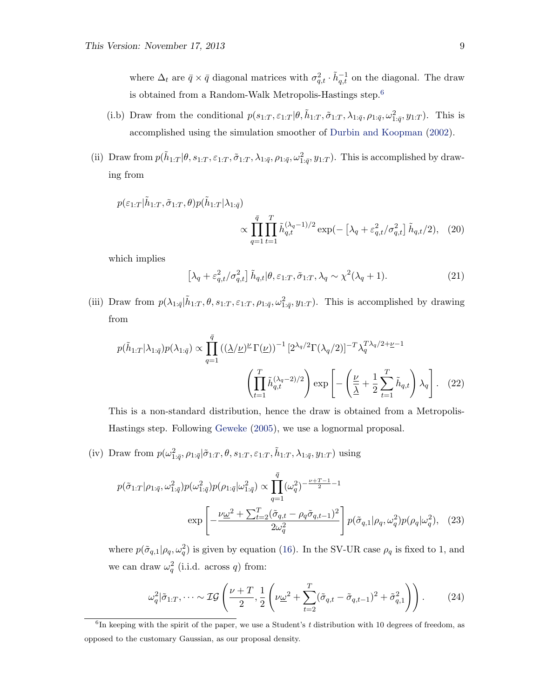where  $\Delta_t$  are  $\bar{q} \times \bar{q}$  diagonal matrices with  $\sigma_{q,t}^2 \cdot \tilde{h}_{q,t}^{-1}$  on the diagonal. The draw is obtained from a Random-Walk Metropolis-Hastings step.[6](#page-9-0)

- (i.b) Draw from the conditional  $p(s_{1:T}, \varepsilon_{1:T} | \theta, \tilde{h}_{1:T}, \tilde{\sigma}_{1:T}, \lambda_{1:\bar{q}}, \rho_{1:\bar{q}}, \omega_{1:\bar{q}}^2, y_{1:T})$ . This is accomplished using the simulation smoother of [Durbin and Koopman](#page-25-7) [\(2002\)](#page-25-7).
- (ii) Draw from  $p(\tilde{h}_{1:T}|\theta, s_{1:T}, \varepsilon_{1:T}, \tilde{\sigma}_{1:T}, \lambda_{1:\bar{q}}, \rho_{1:\bar{q}}, \omega_{1:\bar{q}}^2, y_{1:T})$ . This is accomplished by drawing from

$$
p(\varepsilon_{1:T} | \tilde{h}_{1:T}, \tilde{\sigma}_{1:T}, \theta) p(\tilde{h}_{1:T} | \lambda_{1:\bar{q}}) \propto \prod_{q=1}^{\bar{q}} \prod_{t=1}^{T} \tilde{h}_{q,t}^{(\lambda_q - 1)/2} \exp(-\left[\lambda_q + \varepsilon_{q,t}^2 / \sigma_{q,t}^2\right] \tilde{h}_{q,t}/2), \quad (20)
$$

which implies

<span id="page-9-1"></span>
$$
\left[\lambda_q + \varepsilon_{q,t}^2 / \sigma_{q,t}^2\right] \tilde{h}_{q,t} | \theta, \varepsilon_{1:T}, \tilde{\sigma}_{1:T}, \lambda_q \sim \chi^2(\lambda_q + 1). \tag{21}
$$

(iii) Draw from  $p(\lambda_{1:\bar{q}}|\tilde{h}_{1:T},\theta,s_{1:T},\varepsilon_{1:T},\rho_{1:\bar{q}},\omega_{1:\bar{q}}^2,y_{1:T})$ . This is accomplished by drawing from

$$
p(\tilde{h}_{1:T}|\lambda_{1:\bar{q}})p(\lambda_{1:\bar{q}}) \propto \prod_{q=1}^{\bar{q}} \left( (\underline{\lambda}/\underline{\nu})^{\underline{\nu}} \Gamma(\underline{\nu}) \right)^{-1} \left[ 2^{\lambda_q/2} \Gamma(\lambda_q/2) \right]^{-T} \lambda_q^{T\lambda_q/2 + \underline{\nu}-1}
$$

$$
\left( \prod_{t=1}^T \tilde{h}_{q,t}^{(\lambda_q - 2)/2} \right) \exp \left[ -\left( \frac{\underline{\nu}}{\underline{\lambda}} + \frac{1}{2} \sum_{t=1}^T \tilde{h}_{q,t} \right) \lambda_q \right]. \quad (22)
$$

This is a non-standard distribution, hence the draw is obtained from a Metropolis-Hastings step. Following [Geweke](#page-26-2) [\(2005\)](#page-26-2), we use a lognormal proposal.

(iv) Draw from  $p(\omega_{1:\bar{q}}^2, \rho_{1:\bar{q}} | \tilde{\sigma}_{1:T}, \theta, s_{1:T}, \varepsilon_{1:T}, \tilde{h}_{1:T}, \lambda_{1:\bar{q}}, y_{1:T})$  using

$$
p(\tilde{\sigma}_{1:T}|\rho_{1:\bar{q}}, \omega_{1:\bar{q}}^2)p(\omega_{1:\bar{q}}^2)p(\rho_{1:\bar{q}}|\omega_{1:\bar{q}}^2) \propto \prod_{q=1}^{\bar{q}} (\omega_q^2)^{-\frac{\nu+T-1}{2}-1}
$$

$$
\exp\left[-\frac{\nu\omega^2 + \sum_{t=2}^T (\tilde{\sigma}_{q,t} - \rho_q \tilde{\sigma}_{q,t-1})^2}{2\omega_q^2}\right]p(\tilde{\sigma}_{q,1}|\rho_q, \omega_q^2)p(\rho_q|\omega_q^2), \quad (23)
$$

where  $p(\tilde{\sigma}_{q,1}|\rho_q, \omega_q^2)$  is given by equation [\(16\)](#page-8-1). In the SV-UR case  $\rho_q$  is fixed to 1, and we can draw  $\omega_q^2$  (i.i.d. across q) from:

$$
\omega_q^2 |\tilde{\sigma}_{1:T}, \dots \sim \mathcal{IG}\left(\frac{\nu+T}{2}, \frac{1}{2}\left(\nu\underline{\omega}^2 + \sum_{t=2}^T (\tilde{\sigma}_{q,t} - \tilde{\sigma}_{q,t-1})^2 + \tilde{\sigma}_{q,1}^2\right)\right). \tag{24}
$$

<span id="page-9-0"></span> ${}^{6}$ In keeping with the spirit of the paper, we use a Student's t distribution with 10 degrees of freedom, as opposed to the customary Gaussian, as our proposal density.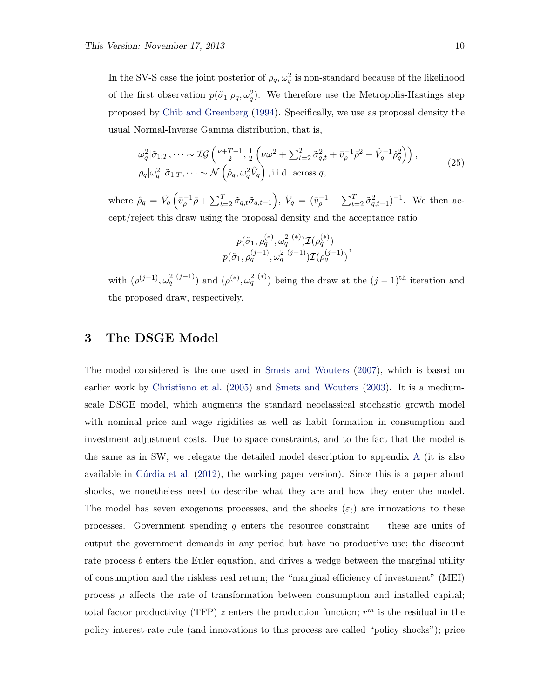In the SV-S case the joint posterior of  $\rho_q, \omega_q^2$  is non-standard because of the likelihood of the first observation  $p(\tilde{\sigma}_1 | \rho_q, \omega_q^2)$ . We therefore use the Metropolis-Hastings step proposed by [Chib and Greenberg](#page-24-7) [\(1994\)](#page-24-7). Specifically, we use as proposal density the usual Normal-Inverse Gamma distribution, that is,

$$
\omega_q^2 |\tilde{\sigma}_{1:T}, \dots \sim \mathcal{IG}\left(\frac{\nu + T - 1}{2}, \frac{1}{2} \left(\nu \underline{\omega}^2 + \sum_{t=2}^T \tilde{\sigma}_{q,t}^2 + \bar{v}_\rho^{-1} \bar{\rho}^2 - \hat{V}_q^{-1} \hat{\rho}_q^2\right)\right),
$$
  
\n
$$
\rho_q |\omega_q^2, \tilde{\sigma}_{1:T}, \dots \sim \mathcal{N}\left(\hat{\rho}_q, \omega_q^2 \hat{V}_q\right), \text{ i.i.d. across } q,
$$
\n(25)

where  $\hat{\rho}_q = \hat{V}_q \left( \bar{v}_{\rho}^{-1} \bar{\rho} + \sum_{t=2}^T \tilde{\sigma}_{q,t} \tilde{\sigma}_{q,t-1} \right), \hat{V}_q = (\bar{v}_{\rho}^{-1} + \sum_{t=2}^T \tilde{\sigma}_{q,t-1}^2)^{-1}$ . We then accept/reject this draw using the proposal density and the acceptance ratio

$$
\frac{p(\tilde{\sigma}_1,\rho_q^{(*)}, \omega_q^{2\;(*)})\mathcal{I}(\rho_q^{(*)})}{p(\tilde{\sigma}_1,\rho_q^{(j-1)}, \omega_q^{2\; (j-1)})\mathcal{I}(\rho_q^{(j-1)})},
$$

with  $(\rho^{(j-1)}, \omega_q^{2-(j-1)})$  and  $(\rho^{(*)}, \omega_q^{2^{(*)}})$  being the draw at the  $(j-1)$ <sup>th</sup> iteration and the proposed draw, respectively.

## <span id="page-10-0"></span>3 The DSGE Model

The model considered is the one used in [Smets and Wouters](#page-27-0) [\(2007\)](#page-27-0), which is based on earlier work by [Christiano et al.](#page-24-8) [\(2005\)](#page-24-8) and [Smets and Wouters](#page-26-7) [\(2003\)](#page-26-7). It is a mediumscale DSGE model, which augments the standard neoclassical stochastic growth model with nominal price and wage rigidities as well as habit formation in consumption and investment adjustment costs. Due to space constraints, and to the fact that the model is the same as in SW, we relegate the detailed model description to appendix [A](#page--1-2) (it is also available in Cúrdia et al.  $(2012)$ , the working paper version). Since this is a paper about shocks, we nonetheless need to describe what they are and how they enter the model. The model has seven exogenous processes, and the shocks  $(\varepsilon_t)$  are innovations to these processes. Government spending q enters the resource constraint  $-$  these are units of output the government demands in any period but have no productive use; the discount rate process b enters the Euler equation, and drives a wedge between the marginal utility of consumption and the riskless real return; the "marginal efficiency of investment" (MEI) process  $\mu$  affects the rate of transformation between consumption and installed capital; total factor productivity (TFP) z enters the production function;  $r<sup>m</sup>$  is the residual in the policy interest-rate rule (and innovations to this process are called "policy shocks"); price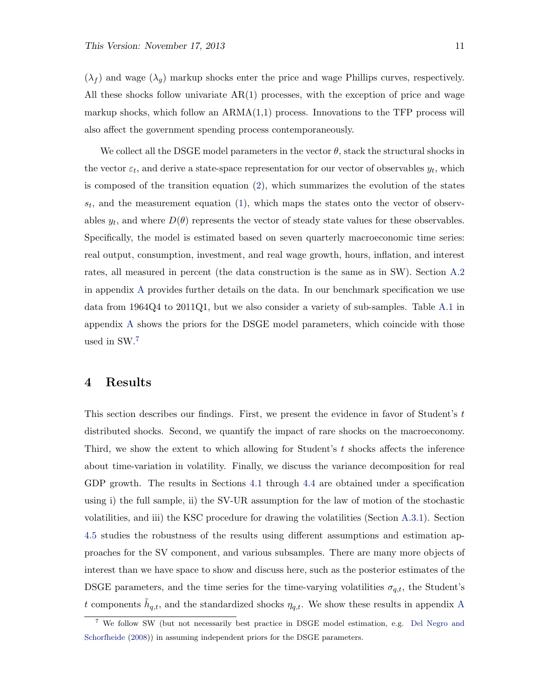$(\lambda_f)$  and wage  $(\lambda_q)$  markup shocks enter the price and wage Phillips curves, respectively. All these shocks follow univariate  $AR(1)$  processes, with the exception of price and wage markup shocks, which follow an ARMA(1,1) process. Innovations to the TFP process will also affect the government spending process contemporaneously.

We collect all the DSGE model parameters in the vector  $\theta$ , stack the structural shocks in the vector  $\varepsilon_t$ , and derive a state-space representation for our vector of observables  $y_t$ , which is composed of the transition equation [\(2\)](#page-5-5), which summarizes the evolution of the states  $s_t$ , and the measurement equation [\(1\)](#page-5-4), which maps the states onto the vector of observables  $y_t$ , and where  $D(\theta)$  represents the vector of steady state values for these observables. Specifically, the model is estimated based on seven quarterly macroeconomic time series: real output, consumption, investment, and real wage growth, hours, inflation, and interest rates, all measured in percent (the data construction is the same as in SW). Section [A.2](#page--1-3) in appendix [A](#page--1-2) provides further details on the data. In our benchmark specification we use data from 1964Q4 to 2011Q1, but we also consider a variety of sub-samples. Table [A.1](#page--1-4) in appendix [A](#page--1-2) shows the priors for the DSGE model parameters, which coincide with those used in SW.[7](#page-11-1)

## <span id="page-11-0"></span>4 Results

This section describes our findings. First, we present the evidence in favor of Student's t distributed shocks. Second, we quantify the impact of rare shocks on the macroeconomy. Third, we show the extent to which allowing for Student's t shocks affects the inference about time-variation in volatility. Finally, we discuss the variance decomposition for real GDP growth. The results in Sections [4.1](#page-12-0) through [4.4](#page-19-0) are obtained under a specification using i) the full sample, ii) the SV-UR assumption for the law of motion of the stochastic volatilities, and iii) the KSC procedure for drawing the volatilities (Section [A.3.1\)](#page--1-5). Section [4.5](#page-20-0) studies the robustness of the results using different assumptions and estimation approaches for the SV component, and various subsamples. There are many more objects of interest than we have space to show and discuss here, such as the posterior estimates of the DSGE parameters, and the time series for the time-varying volatilities  $\sigma_{q,t}$ , the Student's t components  $\tilde{h}_{q,t}$ , and the standardized shocks  $\eta_{q,t}$ . We show these results in appendix [A](#page--1-2)

<span id="page-11-1"></span><sup>7</sup> We follow SW (but not necessarily best practice in DSGE model estimation, e.g. [Del Negro and](#page-25-9) [Schorfheide](#page-25-9) [\(2008\)](#page-25-9)) in assuming independent priors for the DSGE parameters.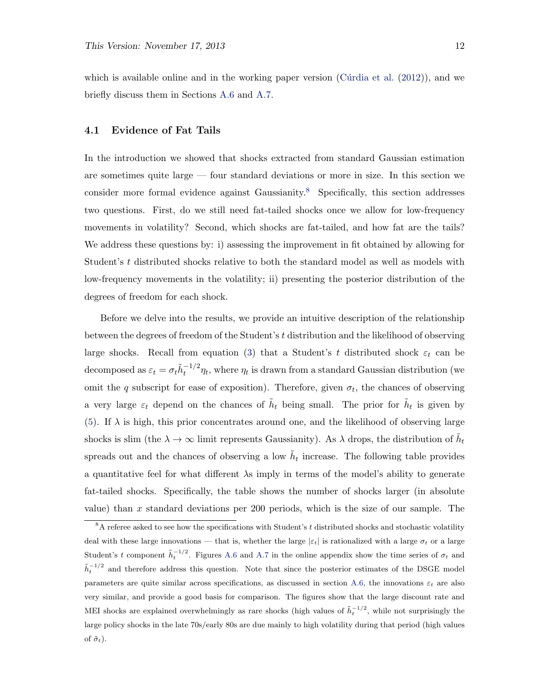which is available online and in the working paper version (Curdia et al.  $(2012)$ ), and we briefly discuss them in Sections [A.6](#page--1-6) and [A.7.](#page--1-7)

### <span id="page-12-0"></span>4.1 Evidence of Fat Tails

In the introduction we showed that shocks extracted from standard Gaussian estimation are sometimes quite large — four standard deviations or more in size. In this section we consider more formal evidence against Gaussianity.<sup>[8](#page-12-1)</sup> Specifically, this section addresses two questions. First, do we still need fat-tailed shocks once we allow for low-frequency movements in volatility? Second, which shocks are fat-tailed, and how fat are the tails? We address these questions by: i) assessing the improvement in fit obtained by allowing for Student's t distributed shocks relative to both the standard model as well as models with low-frequency movements in the volatility; ii) presenting the posterior distribution of the degrees of freedom for each shock.

Before we delve into the results, we provide an intuitive description of the relationship between the degrees of freedom of the Student's t distribution and the likelihood of observing large shocks. Recall from equation [\(3\)](#page-5-1) that a Student's t distributed shock  $\varepsilon_t$  can be decomposed as  $\varepsilon_t = \sigma_t \tilde{h}_t^{-1/2} \eta_t$ , where  $\eta_t$  is drawn from a standard Gaussian distribution (we omit the q subscript for ease of exposition). Therefore, given  $\sigma_t$ , the chances of observing a very large  $\varepsilon_t$  depend on the chances of  $\tilde{h}_t$  being small. The prior for  $\tilde{h}_t$  is given by [\(5\)](#page-5-3). If  $\lambda$  is high, this prior concentrates around one, and the likelihood of observing large shocks is slim (the  $\lambda \to \infty$  limit represents Gaussianity). As  $\lambda$  drops, the distribution of  $\tilde{h}_t$ spreads out and the chances of observing a low  $\tilde{h}_t$  increase. The following table provides a quantitative feel for what different  $\lambda s$  imply in terms of the model's ability to generate fat-tailed shocks. Specifically, the table shows the number of shocks larger (in absolute value) than x standard deviations per 200 periods, which is the size of our sample. The

<span id="page-12-1"></span> $8<sup>8</sup>A$  referee asked to see how the specifications with Student's t distributed shocks and stochastic volatility deal with these large innovations — that is, whether the large  $|\varepsilon_t|$  is rationalized with a large  $\sigma_t$  or a large Student's t component  $\tilde{h}_t^{-1/2}$ . Figures [A.6](#page--1-0) and [A.7](#page--1-8) in the online appendix show the time series of  $\sigma_t$  and  $\tilde{h}_t^{-1/2}$  and therefore address this question. Note that since the posterior estimates of the DSGE model parameters are quite similar across specifications, as discussed in section [A.6,](#page--1-6) the innovations  $\varepsilon_t$  are also very similar, and provide a good basis for comparison. The figures show that the large discount rate and MEI shocks are explained overwhelmingly as rare shocks (high values of  $\tilde{h}_t^{-1/2}$ , while not surprisingly the large policy shocks in the late 70s/early 80s are due mainly to high volatility during that period (high values of  $\tilde{\sigma}_t$ ).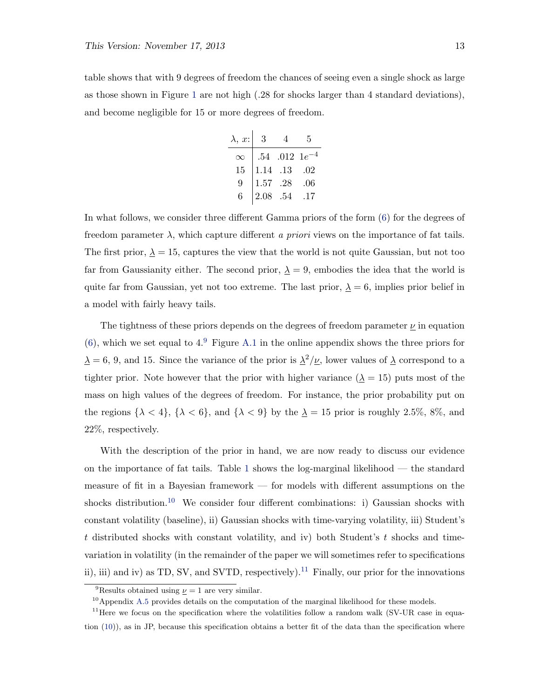table shows that with 9 degrees of freedom the chances of seeing even a single shock as large as those shown in Figure [1](#page-29-0) are not high (.28 for shocks larger than 4 standard deviations), and become negligible for 15 or more degrees of freedom.

| 3    |     | 5           |
|------|-----|-------------|
| .54  |     |             |
| 1.14 | .13 | .02         |
| 1.57 | .28 | .06         |
| 2.08 | .54 | .17         |
|      |     | .012 $1e^-$ |

In what follows, we consider three different Gamma priors of the form [\(6\)](#page-5-6) for the degrees of freedom parameter  $\lambda$ , which capture different a priori views on the importance of fat tails. The first prior,  $\lambda = 15$ , captures the view that the world is not quite Gaussian, but not too far from Gaussianity either. The second prior,  $\Delta = 9$ , embodies the idea that the world is quite far from Gaussian, yet not too extreme. The last prior,  $\Delta = 6$ , implies prior belief in a model with fairly heavy tails.

The tightness of these priors depends on the degrees of freedom parameter  $\nu$  in equation  $(6)$ , which we set equal to  $4.9$  $4.9$  Figure [A.1](#page--1-9) in the online appendix shows the three priors for  $\Delta = 6, 9$ , and 15. Since the variance of the prior is  $\frac{\Delta^2}{\nu}$ , lower values of  $\Delta$  correspond to a tighter prior. Note however that the prior with higher variance  $(\underline{\lambda} = 15)$  puts most of the mass on high values of the degrees of freedom. For instance, the prior probability put on the regions  $\{\lambda < 4\}$ ,  $\{\lambda < 6\}$ , and  $\{\lambda < 9\}$  by the  $\underline{\lambda} = 15$  prior is roughly 2.5%, 8%, and 22%, respectively.

With the description of the prior in hand, we are now ready to discuss our evidence on the importance of fat tails. Table [1](#page-27-1) shows the log-marginal likelihood — the standard measure of fit in a Bayesian framework — for models with different assumptions on the shocks distribution.<sup>[10](#page-13-1)</sup> We consider four different combinations: i) Gaussian shocks with constant volatility (baseline), ii) Gaussian shocks with time-varying volatility, iii) Student's t distributed shocks with constant volatility, and iv) both Student's  $t$  shocks and timevariation in volatility (in the remainder of the paper we will sometimes refer to specifications ii), iii) and iv) as TD, SV, and SVTD, respectively).<sup>[11](#page-13-2)</sup> Finally, our prior for the innovations

<span id="page-13-1"></span><span id="page-13-0"></span><sup>&</sup>lt;sup>9</sup>Results obtained using  $\nu = 1$  are very similar.

<span id="page-13-2"></span> $10$ Appendix [A.5](#page--1-10) provides details on the computation of the marginal likelihood for these models.

 $11$ Here we focus on the specification where the volatilities follow a random walk (SV-UR case in equation [\(10\)](#page-6-3)), as in JP, because this specification obtains a better fit of the data than the specification where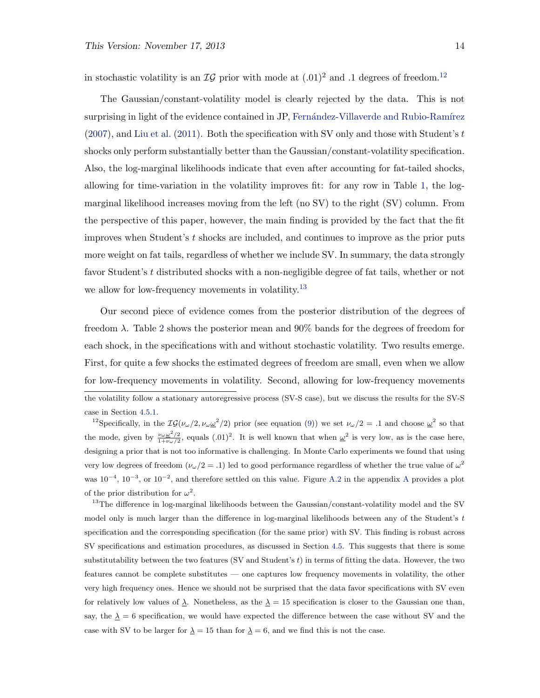in stochastic volatility is an  $\mathcal{IG}$  prior with mode at  $(.01)^2$  and  $.1$  degrees of freedom.<sup>[12](#page-14-0)</sup>

The Gaussian/constant-volatility model is clearly rejected by the data. This is not surprising in light of the evidence contained in JP, Fernández-Villaverde and Rubio-Ramírez [\(2007\)](#page-25-1), and [Liu et al.](#page-26-1) [\(2011\)](#page-26-1). Both the specification with SV only and those with Student's t shocks only perform substantially better than the Gaussian/constant-volatility specification. Also, the log-marginal likelihoods indicate that even after accounting for fat-tailed shocks, allowing for time-variation in the volatility improves fit: for any row in Table [1,](#page-27-1) the logmarginal likelihood increases moving from the left (no SV) to the right (SV) column. From the perspective of this paper, however, the main finding is provided by the fact that the fit improves when Student's  $t$  shocks are included, and continues to improve as the prior puts more weight on fat tails, regardless of whether we include SV. In summary, the data strongly favor Student's t distributed shocks with a non-negligible degree of fat tails, whether or not we allow for low-frequency movements in volatility.<sup>[13](#page-14-1)</sup>

Our second piece of evidence comes from the posterior distribution of the degrees of freedom  $\lambda$ . Table [2](#page-28-0) shows the posterior mean and 90% bands for the degrees of freedom for each shock, in the specifications with and without stochastic volatility. Two results emerge. First, for quite a few shocks the estimated degrees of freedom are small, even when we allow for low-frequency movements in volatility. Second, allowing for low-frequency movements the volatility follow a stationary autoregressive process (SV-S case), but we discuss the results for the SV-S

<span id="page-14-1"></span><sup>13</sup>The difference in log-marginal likelihoods between the Gaussian/constant-volatility model and the SV model only is much larger than the difference in log-marginal likelihoods between any of the Student's t specification and the corresponding specification (for the same prior) with SV. This finding is robust across SV specifications and estimation procedures, as discussed in Section [4.5.](#page-20-0) This suggests that there is some substitutability between the two features (SV and Student's t) in terms of fitting the data. However, the two features cannot be complete substitutes — one captures low frequency movements in volatility, the other very high frequency ones. Hence we should not be surprised that the data favor specifications with SV even for relatively low values of  $\lambda$ . Nonetheless, as the  $\lambda = 15$  specification is closer to the Gaussian one than, say, the  $\lambda = 6$  specification, we would have expected the difference between the case without SV and the case with SV to be larger for  $\lambda = 15$  than for  $\lambda = 6$ , and we find this is not the case.

<span id="page-14-0"></span>case in Section [4.5.1.](#page-20-1)

<sup>&</sup>lt;sup>12</sup>Specifically, in the  $\mathcal{IG}(\nu_\omega/2, \nu_\omega\underline{\omega}^2/2)$  prior (see equation [\(9\)](#page-6-4)) we set  $\nu_\omega/2 = .1$  and choose  $\underline{\omega}^2$  so that the mode, given by  $\frac{\nu_\omega \omega^2/2}{1+\nu_\omega/2}$  $\frac{\nu_{\omega}\omega^2/2}{1+\nu_{\omega}/2}$ , equals  $(0.01)^2$ . It is well known that when  $\omega^2$  is very low, as is the case here, designing a prior that is not too informative is challenging. In Monte Carlo experiments we found that using very low degrees of freedom  $(\nu_\omega/2=.1)$  led to good performance regardless of whether the true value of  $\omega^2$ was  $10^{-4}$ ,  $10^{-3}$ , or  $10^{-2}$ , and therefore settled on this value. Figure [A.2](#page--1-11) in the appendix [A](#page--1-2) provides a plot of the prior distribution for  $\omega^2$ .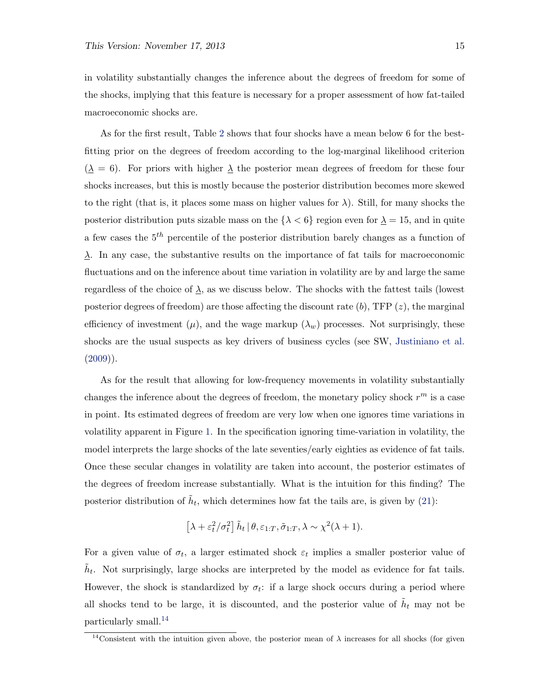in volatility substantially changes the inference about the degrees of freedom for some of the shocks, implying that this feature is necessary for a proper assessment of how fat-tailed macroeconomic shocks are.

As for the first result, Table [2](#page-28-0) shows that four shocks have a mean below 6 for the bestfitting prior on the degrees of freedom according to the log-marginal likelihood criterion  $(\underline{\lambda} = 6)$ . For priors with higher  $\underline{\lambda}$  the posterior mean degrees of freedom for these four shocks increases, but this is mostly because the posterior distribution becomes more skewed to the right (that is, it places some mass on higher values for  $\lambda$ ). Still, for many shocks the posterior distribution puts sizable mass on the  $\{\lambda < 6\}$  region even for  $\lambda = 15$ , and in quite a few cases the  $5<sup>th</sup>$  percentile of the posterior distribution barely changes as a function of  $\lambda$ . In any case, the substantive results on the importance of fat tails for macroeconomic fluctuations and on the inference about time variation in volatility are by and large the same regardless of the choice of  $\lambda$ , as we discuss below. The shocks with the fattest tails (lowest posterior degrees of freedom) are those affecting the discount rate  $(b)$ , TFP  $(z)$ , the marginal efficiency of investment  $(\mu)$ , and the wage markup  $(\lambda_w)$  processes. Not surprisingly, these shocks are the usual suspects as key drivers of business cycles (see SW, [Justiniano et al.](#page-26-8)  $(2009)$ ).

As for the result that allowing for low-frequency movements in volatility substantially changes the inference about the degrees of freedom, the monetary policy shock  $r^m$  is a case in point. Its estimated degrees of freedom are very low when one ignores time variations in volatility apparent in Figure [1.](#page-29-0) In the specification ignoring time-variation in volatility, the model interprets the large shocks of the late seventies/early eighties as evidence of fat tails. Once these secular changes in volatility are taken into account, the posterior estimates of the degrees of freedom increase substantially. What is the intuition for this finding? The posterior distribution of  $\tilde{h}_t$ , which determines how fat the tails are, is given by [\(21\)](#page-9-1):

$$
\left[\lambda + \varepsilon_t^2/\sigma_t^2\right] \tilde{h}_t \, | \, \theta, \varepsilon_{1:T}, \tilde{\sigma}_{1:T}, \lambda \sim \chi^2(\lambda + 1).
$$

For a given value of  $\sigma_t$ , a larger estimated shock  $\varepsilon_t$  implies a smaller posterior value of  $\tilde{h}_t$ . Not surprisingly, large shocks are interpreted by the model as evidence for fat tails. However, the shock is standardized by  $\sigma_t$ : if a large shock occurs during a period where all shocks tend to be large, it is discounted, and the posterior value of  $\tilde{h}_t$  may not be particularly small.[14](#page-15-0)

<span id="page-15-0"></span><sup>&</sup>lt;sup>14</sup>Consistent with the intuition given above, the posterior mean of  $\lambda$  increases for all shocks (for given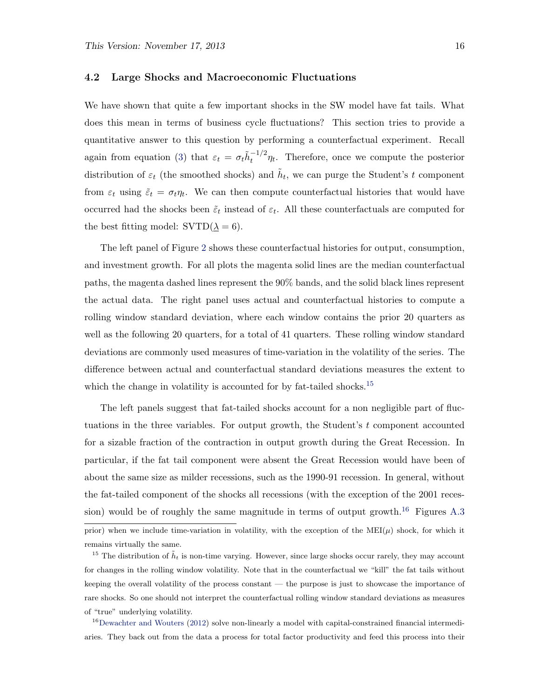## 4.2 Large Shocks and Macroeconomic Fluctuations

We have shown that quite a few important shocks in the SW model have fat tails. What does this mean in terms of business cycle fluctuations? This section tries to provide a quantitative answer to this question by performing a counterfactual experiment. Recall again from equation [\(3\)](#page-5-1) that  $\varepsilon_t = \sigma_t \tilde{h}_t^{-1/2} \eta_t$ . Therefore, once we compute the posterior distribution of  $\varepsilon_t$  (the smoothed shocks) and  $\tilde{h}_t$ , we can purge the Student's t component from  $\varepsilon_t$  using  $\tilde{\varepsilon}_t = \sigma_t \eta_t$ . We can then compute counterfactual histories that would have occurred had the shocks been  $\tilde{\varepsilon}_t$  instead of  $\varepsilon_t$ . All these counterfactuals are computed for the best fitting model:  $\text{SVTD}(\underline{\lambda} = 6)$ .

The left panel of Figure [2](#page-30-0) shows these counterfactual histories for output, consumption, and investment growth. For all plots the magenta solid lines are the median counterfactual paths, the magenta dashed lines represent the 90% bands, and the solid black lines represent the actual data. The right panel uses actual and counterfactual histories to compute a rolling window standard deviation, where each window contains the prior 20 quarters as well as the following 20 quarters, for a total of 41 quarters. These rolling window standard deviations are commonly used measures of time-variation in the volatility of the series. The difference between actual and counterfactual standard deviations measures the extent to which the change in volatility is accounted for by fat-tailed shocks.<sup>[15](#page-16-0)</sup>

The left panels suggest that fat-tailed shocks account for a non negligible part of fluctuations in the three variables. For output growth, the Student's  $t$  component accounted for a sizable fraction of the contraction in output growth during the Great Recession. In particular, if the fat tail component were absent the Great Recession would have been of about the same size as milder recessions, such as the 1990-91 recession. In general, without the fat-tailed component of the shocks all recessions (with the exception of the 2001 reces-sion) would be of roughly the same magnitude in terms of output growth.<sup>[16](#page-16-1)</sup> Figures [A.3](#page--1-12)

<span id="page-16-1"></span><sup>16</sup>[Dewachter and Wouters](#page-25-4) [\(2012\)](#page-25-4) solve non-linearly a model with capital-constrained financial intermediaries. They back out from the data a process for total factor productivity and feed this process into their

prior) when we include time-variation in volatility, with the exception of the  $MEI(\mu)$  shock, for which it remains virtually the same.

<span id="page-16-0"></span><sup>&</sup>lt;sup>15</sup> The distribution of  $h_t$  is non-time varying. However, since large shocks occur rarely, they may account for changes in the rolling window volatility. Note that in the counterfactual we "kill" the fat tails without keeping the overall volatility of the process constant — the purpose is just to showcase the importance of rare shocks. So one should not interpret the counterfactual rolling window standard deviations as measures of "true" underlying volatility.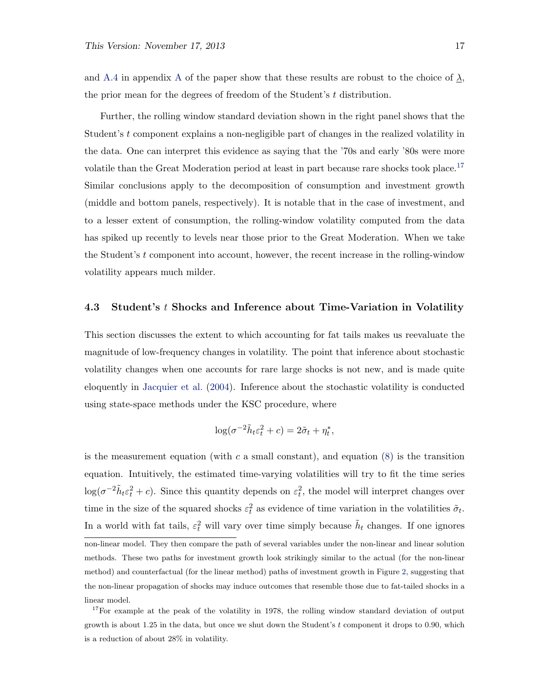and [A.4](#page--1-13) in appendix [A](#page--1-2) of the paper show that these results are robust to the choice of  $\lambda$ , the prior mean for the degrees of freedom of the Student's t distribution.

Further, the rolling window standard deviation shown in the right panel shows that the Student's t component explains a non-negligible part of changes in the realized volatility in the data. One can interpret this evidence as saying that the '70s and early '80s were more volatile than the Great Moderation period at least in part because rare shocks took place.<sup>[17](#page-17-0)</sup> Similar conclusions apply to the decomposition of consumption and investment growth (middle and bottom panels, respectively). It is notable that in the case of investment, and to a lesser extent of consumption, the rolling-window volatility computed from the data has spiked up recently to levels near those prior to the Great Moderation. When we take the Student's t component into account, however, the recent increase in the rolling-window volatility appears much milder.

#### 4.3 Student's t Shocks and Inference about Time-Variation in Volatility

This section discusses the extent to which accounting for fat tails makes us reevaluate the magnitude of low-frequency changes in volatility. The point that inference about stochastic volatility changes when one accounts for rare large shocks is not new, and is made quite eloquently in [Jacquier et al.](#page-26-3) [\(2004\)](#page-26-3). Inference about the stochastic volatility is conducted using state-space methods under the KSC procedure, where

$$
\log(\sigma^{-2}\tilde{h}_t \varepsilon_t^2 + c) = 2\tilde{\sigma}_t + \eta_t^*,
$$

is the measurement equation (with c a small constant), and equation  $(8)$  is the transition equation. Intuitively, the estimated time-varying volatilities will try to fit the time series  $\log(\sigma^{-2} \tilde{h}_t \varepsilon_t^2 + c)$ . Since this quantity depends on  $\varepsilon_t^2$ , the model will interpret changes over time in the size of the squared shocks  $\varepsilon_t^2$  as evidence of time variation in the volatilities  $\tilde{\sigma}_t$ . In a world with fat tails,  $\varepsilon_t^2$  will vary over time simply because  $\tilde{h}_t$  changes. If one ignores non-linear model. They then compare the path of several variables under the non-linear and linear solution methods. These two paths for investment growth look strikingly similar to the actual (for the non-linear method) and counterfactual (for the linear method) paths of investment growth in Figure [2,](#page-30-0) suggesting that the non-linear propagation of shocks may induce outcomes that resemble those due to fat-tailed shocks in a linear model.

<span id="page-17-0"></span><sup>&</sup>lt;sup>17</sup>For example at the peak of the volatility in 1978, the rolling window standard deviation of output growth is about  $1.25$  in the data, but once we shut down the Student's  $t$  component it drops to 0.90, which is a reduction of about 28% in volatility.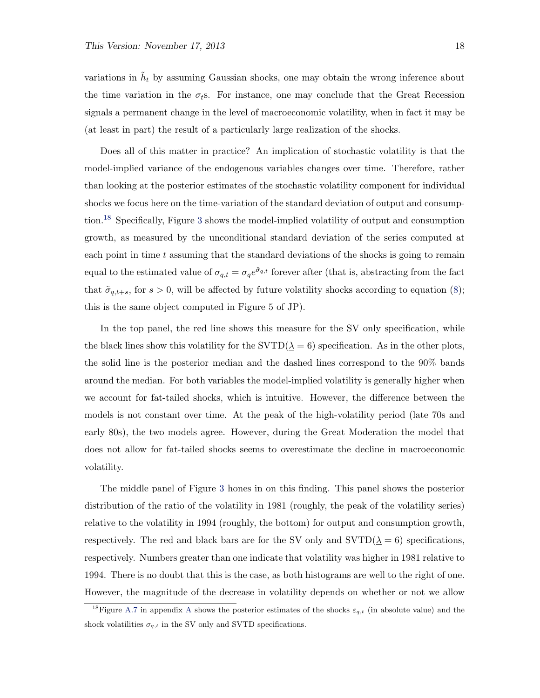variations in  $\tilde{h}_t$  by assuming Gaussian shocks, one may obtain the wrong inference about the time variation in the  $\sigma_t$ s. For instance, one may conclude that the Great Recession signals a permanent change in the level of macroeconomic volatility, when in fact it may be (at least in part) the result of a particularly large realization of the shocks.

Does all of this matter in practice? An implication of stochastic volatility is that the model-implied variance of the endogenous variables changes over time. Therefore, rather than looking at the posterior estimates of the stochastic volatility component for individual shocks we focus here on the time-variation of the standard deviation of output and consumption.[18](#page-18-0) Specifically, Figure [3](#page-31-0) shows the model-implied volatility of output and consumption growth, as measured by the unconditional standard deviation of the series computed at each point in time t assuming that the standard deviations of the shocks is going to remain equal to the estimated value of  $\sigma_{q,t} = \sigma_q e^{\tilde{\sigma}_{q,t}}$  forever after (that is, abstracting from the fact that  $\tilde{\sigma}_{q,t+s}$ , for  $s > 0$ , will be affected by future volatility shocks according to equation [\(8\)](#page-6-2); this is the same object computed in Figure 5 of JP).

In the top panel, the red line shows this measure for the SV only specification, while the black lines show this volatility for the  $SVTD(\underline{\lambda} = 6)$  specification. As in the other plots, the solid line is the posterior median and the dashed lines correspond to the 90% bands around the median. For both variables the model-implied volatility is generally higher when we account for fat-tailed shocks, which is intuitive. However, the difference between the models is not constant over time. At the peak of the high-volatility period (late 70s and early 80s), the two models agree. However, during the Great Moderation the model that does not allow for fat-tailed shocks seems to overestimate the decline in macroeconomic volatility.

The middle panel of Figure [3](#page-31-0) hones in on this finding. This panel shows the posterior distribution of the ratio of the volatility in 1981 (roughly, the peak of the volatility series) relative to the volatility in 1994 (roughly, the bottom) for output and consumption growth, respectively. The red and black bars are for the SV only and  $SVD(\underline{\lambda} = 6)$  specifications, respectively. Numbers greater than one indicate that volatility was higher in 1981 relative to 1994. There is no doubt that this is the case, as both histograms are well to the right of one. However, the magnitude of the decrease in volatility depends on whether or not we allow

<span id="page-18-0"></span><sup>&</sup>lt;sup>18</sup>Figure [A.7](#page--1-8) in appendix [A](#page--1-2) shows the posterior estimates of the shocks  $\varepsilon_{q,t}$  (in absolute value) and the shock volatilities  $\sigma_{q,t}$  in the SV only and SVTD specifications.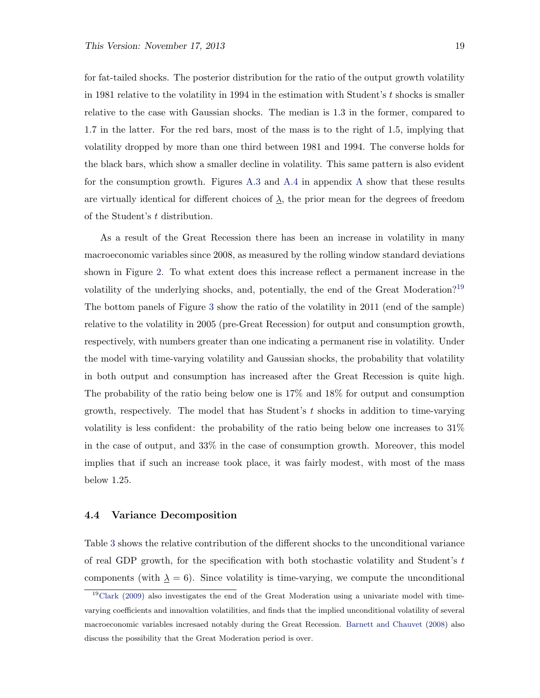for fat-tailed shocks. The posterior distribution for the ratio of the output growth volatility in 1981 relative to the volatility in 1994 in the estimation with Student's t shocks is smaller relative to the case with Gaussian shocks. The median is 1.3 in the former, compared to 1.7 in the latter. For the red bars, most of the mass is to the right of 1.5, implying that volatility dropped by more than one third between 1981 and 1994. The converse holds for the black bars, which show a smaller decline in volatility. This same pattern is also evident for the consumption growth. Figures [A.3](#page--1-12) and [A.4](#page--1-13) in appendix [A](#page--1-2) show that these results are virtually identical for different choices of  $\lambda$ , the prior mean for the degrees of freedom of the Student's t distribution.

As a result of the Great Recession there has been an increase in volatility in many macroeconomic variables since 2008, as measured by the rolling window standard deviations shown in Figure [2.](#page-30-0) To what extent does this increase reflect a permanent increase in the volatility of the underlying shocks, and, potentially, the end of the Great Moderation?<sup>[19](#page-19-1)</sup> The bottom panels of Figure [3](#page-31-0) show the ratio of the volatility in 2011 (end of the sample) relative to the volatility in 2005 (pre-Great Recession) for output and consumption growth, respectively, with numbers greater than one indicating a permanent rise in volatility. Under the model with time-varying volatility and Gaussian shocks, the probability that volatility in both output and consumption has increased after the Great Recession is quite high. The probability of the ratio being below one is 17% and 18% for output and consumption growth, respectively. The model that has Student's  $t$  shocks in addition to time-varying volatility is less confident: the probability of the ratio being below one increases to 31% in the case of output, and 33% in the case of consumption growth. Moreover, this model implies that if such an increase took place, it was fairly modest, with most of the mass below 1.25.

#### <span id="page-19-0"></span>4.4 Variance Decomposition

Table [3](#page-28-1) shows the relative contribution of the different shocks to the unconditional variance of real GDP growth, for the specification with both stochastic volatility and Student's t components (with  $\Delta = 6$ ). Since volatility is time-varying, we compute the unconditional

<span id="page-19-1"></span> $19$ [Clark](#page-24-9) [\(2009\)](#page-24-9) also investigates the end of the Great Moderation using a univariate model with timevarying coefficients and innovaltion volatilities, and finds that the implied unconditional volatility of several macroeconomic variables incresaed notably during the Great Recession. [Barnett and Chauvet](#page-24-10) [\(2008\)](#page-24-10) also discuss the possibility that the Great Moderation period is over.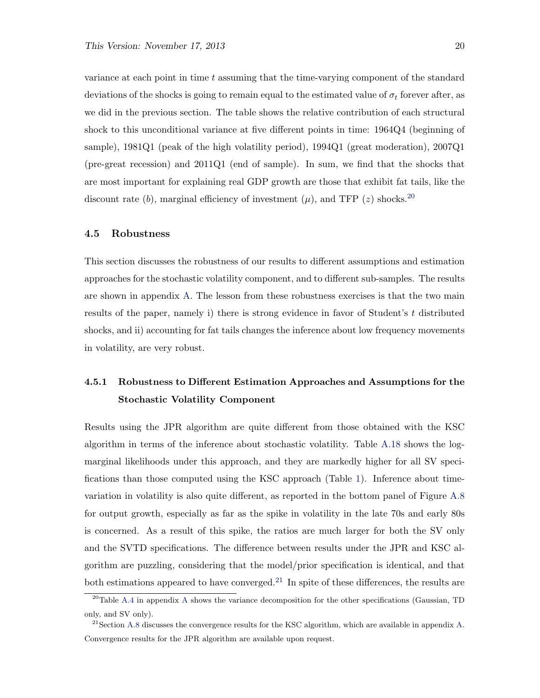variance at each point in time  $t$  assuming that the time-varying component of the standard deviations of the shocks is going to remain equal to the estimated value of  $\sigma_t$  forever after, as we did in the previous section. The table shows the relative contribution of each structural shock to this unconditional variance at five different points in time: 1964Q4 (beginning of sample), 1981Q1 (peak of the high volatility period), 1994Q1 (great moderation), 2007Q1 (pre-great recession) and 2011Q1 (end of sample). In sum, we find that the shocks that are most important for explaining real GDP growth are those that exhibit fat tails, like the discount rate (b), marginal efficiency of investment  $(\mu)$ , and TFP (z) shocks.<sup>[20](#page-20-2)</sup>

## <span id="page-20-0"></span>4.5 Robustness

This section discusses the robustness of our results to different assumptions and estimation approaches for the stochastic volatility component, and to different sub-samples. The results are shown in appendix [A.](#page--1-2) The lesson from these robustness exercises is that the two main results of the paper, namely i) there is strong evidence in favor of Student's t distributed shocks, and ii) accounting for fat tails changes the inference about low frequency movements in volatility, are very robust.

# <span id="page-20-1"></span>4.5.1 Robustness to Different Estimation Approaches and Assumptions for the Stochastic Volatility Component

Results using the JPR algorithm are quite different from those obtained with the KSC algorithm in terms of the inference about stochastic volatility. Table [A.18](#page--1-14) shows the logmarginal likelihoods under this approach, and they are markedly higher for all SV specifications than those computed using the KSC approach (Table [1\)](#page-27-1). Inference about timevariation in volatility is also quite different, as reported in the bottom panel of Figure [A.8](#page--1-15) for output growth, especially as far as the spike in volatility in the late 70s and early 80s is concerned. As a result of this spike, the ratios are much larger for both the SV only and the SVTD specifications. The difference between results under the JPR and KSC algorithm are puzzling, considering that the model/prior specification is identical, and that both estimations appeared to have converged.<sup>[21](#page-20-3)</sup> In spite of these differences, the results are

<span id="page-20-2"></span><sup>&</sup>lt;sup>20</sup>Table [A.4](#page--1-16) in appendix [A](#page--1-2) shows the variance decomposition for the other specifications (Gaussian, TD) only, and SV only).

<span id="page-20-3"></span> $21$  Section [A.8](#page--1-17) discusses the convergence results for the KSC algorithm, which are available in appendix [A.](#page--1-2) Convergence results for the JPR algorithm are available upon request.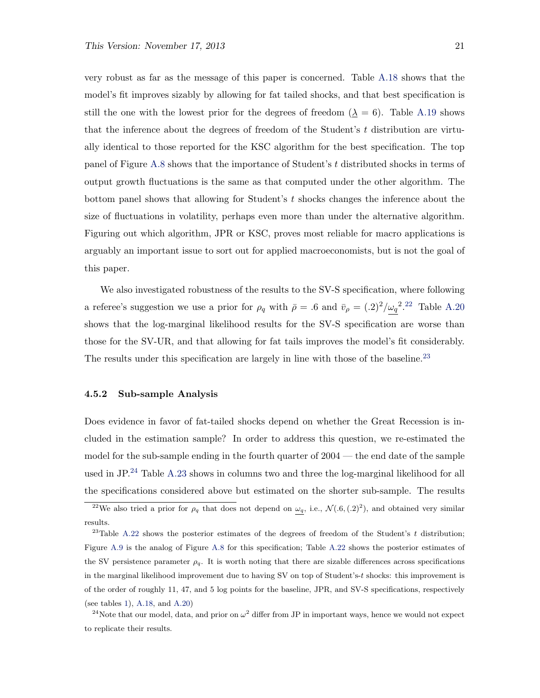very robust as far as the message of this paper is concerned. Table [A.18](#page--1-14) shows that the model's fit improves sizably by allowing for fat tailed shocks, and that best specification is still the one with the lowest prior for the degrees of freedom ( $\lambda = 6$ ). Table [A.19](#page--1-18) shows that the inference about the degrees of freedom of the Student's  $t$  distribution are virtually identical to those reported for the KSC algorithm for the best specification. The top panel of Figure [A.8](#page--1-15) shows that the importance of Student's t distributed shocks in terms of output growth fluctuations is the same as that computed under the other algorithm. The bottom panel shows that allowing for Student's t shocks changes the inference about the size of fluctuations in volatility, perhaps even more than under the alternative algorithm. Figuring out which algorithm, JPR or KSC, proves most reliable for macro applications is arguably an important issue to sort out for applied macroeconomists, but is not the goal of this paper.

We also investigated robustness of the results to the SV-S specification, where following a referee's suggestion we use a prior for  $\rho_q$  with  $\bar{\rho} = .6$  and  $\bar{v}_{\rho} = (.2)^2/\omega_q^{2.22}$  $\bar{v}_{\rho} = (.2)^2/\omega_q^{2.22}$  $\bar{v}_{\rho} = (.2)^2/\omega_q^{2.22}$  Table [A.20](#page--1-19) shows that the log-marginal likelihood results for the SV-S specification are worse than those for the SV-UR, and that allowing for fat tails improves the model's fit considerably. The results under this specification are largely in line with those of the baseline.<sup>[23](#page-21-1)</sup>

#### 4.5.2 Sub-sample Analysis

Does evidence in favor of fat-tailed shocks depend on whether the Great Recession is included in the estimation sample? In order to address this question, we re-estimated the model for the sub-sample ending in the fourth quarter of 2004 — the end date of the sample used in JP.<sup>[24](#page-21-2)</sup> Table [A.23](#page--1-20) shows in columns two and three the log-marginal likelihood for all the specifications considered above but estimated on the shorter sub-sample. The results

<span id="page-21-0"></span><sup>&</sup>lt;sup>22</sup>We also tried a prior for  $\rho_q$  that does not depend on  $\omega_q$ , i.e.,  $\mathcal{N}(.6,(.2)^2)$ , and obtained very similar results.

<span id="page-21-1"></span><sup>&</sup>lt;sup>23</sup>Table [A.22](#page--1-21) shows the posterior estimates of the degrees of freedom of the Student's t distribution; Figure [A.9](#page--1-22) is the analog of Figure [A.8](#page--1-15) for this specification; Table [A.22](#page--1-21) shows the posterior estimates of the SV persistence parameter  $\rho_q$ . It is worth noting that there are sizable differences across specifications in the marginal likelihood improvement due to having SV on top of Student's-t shocks: this improvement is of the order of roughly 11, 47, and 5 log points for the baseline, JPR, and SV-S specifications, respectively (see tables [1\)](#page-27-1), [A.18,](#page--1-14) and [A.20\)](#page--1-19)

<span id="page-21-2"></span><sup>&</sup>lt;sup>24</sup>Note that our model, data, and prior on  $\omega^2$  differ from JP in important ways, hence we would not expect to replicate their results.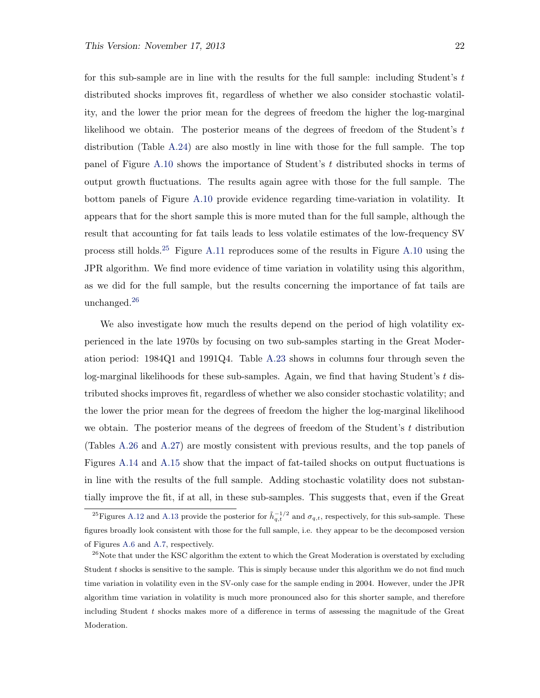for this sub-sample are in line with the results for the full sample: including Student's  $t$ distributed shocks improves fit, regardless of whether we also consider stochastic volatility, and the lower the prior mean for the degrees of freedom the higher the log-marginal likelihood we obtain. The posterior means of the degrees of freedom of the Student's  $t$ distribution (Table [A.24\)](#page--1-23) are also mostly in line with those for the full sample. The top panel of Figure [A.10](#page--1-24) shows the importance of Student's t distributed shocks in terms of output growth fluctuations. The results again agree with those for the full sample. The bottom panels of Figure [A.10](#page--1-24) provide evidence regarding time-variation in volatility. It appears that for the short sample this is more muted than for the full sample, although the result that accounting for fat tails leads to less volatile estimates of the low-frequency SV process still holds.<sup>[25](#page-22-0)</sup> Figure [A.11](#page--1-25) reproduces some of the results in Figure [A.10](#page--1-24) using the JPR algorithm. We find more evidence of time variation in volatility using this algorithm, as we did for the full sample, but the results concerning the importance of fat tails are unchanged.<sup>[26](#page-22-1)</sup>

We also investigate how much the results depend on the period of high volatility experienced in the late 1970s by focusing on two sub-samples starting in the Great Moderation period: 1984Q1 and 1991Q4. Table [A.23](#page--1-20) shows in columns four through seven the log-marginal likelihoods for these sub-samples. Again, we find that having Student's t distributed shocks improves fit, regardless of whether we also consider stochastic volatility; and the lower the prior mean for the degrees of freedom the higher the log-marginal likelihood we obtain. The posterior means of the degrees of freedom of the Student's t distribution (Tables [A.26](#page--1-26) and [A.27\)](#page--1-26) are mostly consistent with previous results, and the top panels of Figures [A.14](#page--1-27) and [A.15](#page--1-27) show that the impact of fat-tailed shocks on output fluctuations is in line with the results of the full sample. Adding stochastic volatility does not substantially improve the fit, if at all, in these sub-samples. This suggests that, even if the Great

<span id="page-22-0"></span><sup>&</sup>lt;sup>25</sup>Figures [A.12](#page--1-28) and [A.13](#page--1-29) provide the posterior for  $\tilde{h}_{q,t}^{-1/2}$  and  $\sigma_{q,t}$ , respectively, for this sub-sample. These figures broadly look consistent with those for the full sample, i.e. they appear to be the decomposed version of Figures [A.6](#page--1-0) and [A.7,](#page--1-8) respectively.

<span id="page-22-1"></span> $26$ Note that under the KSC algorithm the extent to which the Great Moderation is overstated by excluding Student t shocks is sensitive to the sample. This is simply because under this algorithm we do not find much time variation in volatility even in the SV-only case for the sample ending in 2004. However, under the JPR algorithm time variation in volatility is much more pronounced also for this shorter sample, and therefore including Student  $t$  shocks makes more of a difference in terms of assessing the magnitude of the Great Moderation.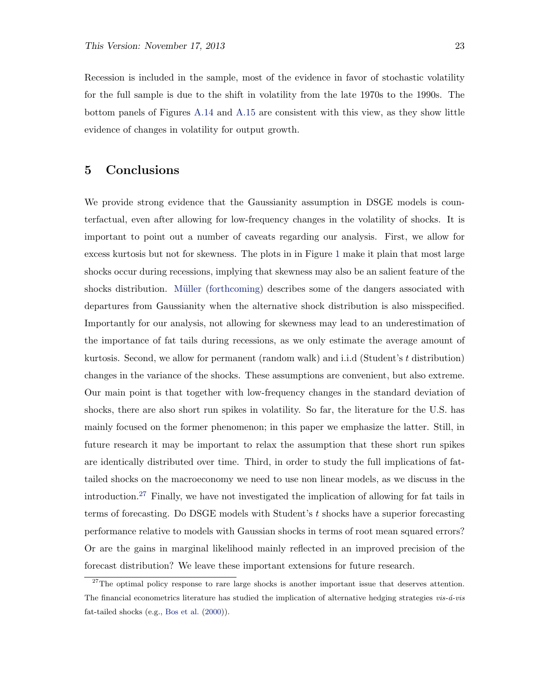Recession is included in the sample, most of the evidence in favor of stochastic volatility for the full sample is due to the shift in volatility from the late 1970s to the 1990s. The bottom panels of Figures [A.14](#page--1-27) and [A.15](#page--1-27) are consistent with this view, as they show little evidence of changes in volatility for output growth.

## <span id="page-23-0"></span>5 Conclusions

We provide strong evidence that the Gaussianity assumption in DSGE models is counterfactual, even after allowing for low-frequency changes in the volatility of shocks. It is important to point out a number of caveats regarding our analysis. First, we allow for excess kurtosis but not for skewness. The plots in in Figure [1](#page-29-0) make it plain that most large shocks occur during recessions, implying that skewness may also be an salient feature of the shocks distribution. Müller [\(forthcoming\)](#page-26-9) describes some of the dangers associated with departures from Gaussianity when the alternative shock distribution is also misspecified. Importantly for our analysis, not allowing for skewness may lead to an underestimation of the importance of fat tails during recessions, as we only estimate the average amount of kurtosis. Second, we allow for permanent (random walk) and i.i.d (Student's t distribution) changes in the variance of the shocks. These assumptions are convenient, but also extreme. Our main point is that together with low-frequency changes in the standard deviation of shocks, there are also short run spikes in volatility. So far, the literature for the U.S. has mainly focused on the former phenomenon; in this paper we emphasize the latter. Still, in future research it may be important to relax the assumption that these short run spikes are identically distributed over time. Third, in order to study the full implications of fattailed shocks on the macroeconomy we need to use non linear models, as we discuss in the introduction.<sup>[27](#page-23-1)</sup> Finally, we have not investigated the implication of allowing for fat tails in terms of forecasting. Do DSGE models with Student's t shocks have a superior forecasting performance relative to models with Gaussian shocks in terms of root mean squared errors? Or are the gains in marginal likelihood mainly reflected in an improved precision of the forecast distribution? We leave these important extensions for future research.

<span id="page-23-1"></span> $27$ The optimal policy response to rare large shocks is another important issue that deserves attention. The financial econometrics literature has studied the implication of alternative hedging strategies  $vis-*a*-vis$ fat-tailed shocks (e.g., [Bos et al.](#page-24-11) [\(2000\)](#page-24-11)).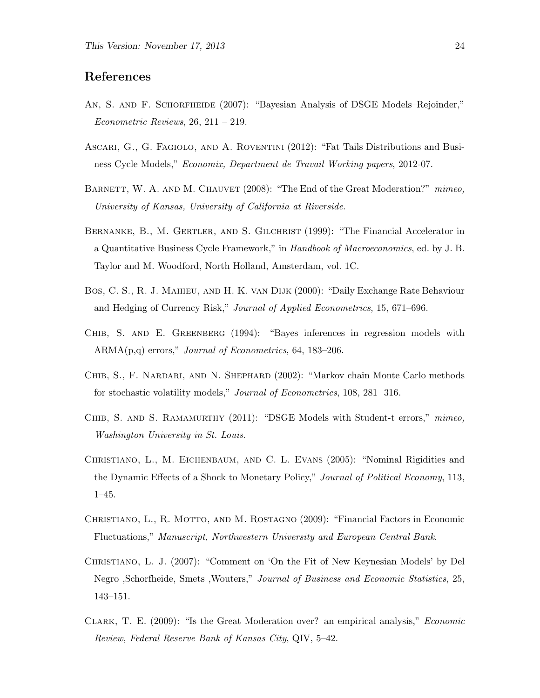# References

- <span id="page-24-0"></span>An, S. and F. Schorfheide (2007): "Bayesian Analysis of DSGE Models–Rejoinder," Econometric Reviews,  $26, 211 - 219$ .
- <span id="page-24-3"></span>Ascari, G., G. Fagiolo, and A. Roventini (2012): "Fat Tails Distributions and Business Cycle Models," Economix, Department de Travail Working papers, 2012-07.
- <span id="page-24-10"></span>BARNETT, W. A. AND M. CHAUVET (2008): "The End of the Great Moderation?" mimeo, University of Kansas, University of California at Riverside.
- <span id="page-24-4"></span>Bernanke, B., M. Gertler, and S. Gilchrist (1999): "The Financial Accelerator in a Quantitative Business Cycle Framework," in Handbook of Macroeconomics, ed. by J. B. Taylor and M. Woodford, North Holland, Amsterdam, vol. 1C.
- <span id="page-24-11"></span>Bos, C. S., R. J. Mahieu, and H. K. van Dijk (2000): "Daily Exchange Rate Behaviour and Hedging of Currency Risk," Journal of Applied Econometrics, 15, 671–696.
- <span id="page-24-7"></span>Chib, S. and E. Greenberg (1994): "Bayes inferences in regression models with ARMA(p,q) errors," Journal of Econometrics, 64, 183–206.
- <span id="page-24-6"></span>Chib, S., F. Nardari, and N. Shephard (2002): "Markov chain Monte Carlo methods for stochastic volatility models," Journal of Econometrics, 108, 281 316.
- <span id="page-24-1"></span>CHIB, S. AND S. RAMAMURTHY (2011): "DSGE Models with Student-t errors," mimeo, Washington University in St. Louis.
- <span id="page-24-8"></span>Christiano, L., M. Eichenbaum, and C. L. Evans (2005): "Nominal Rigidities and the Dynamic Effects of a Shock to Monetary Policy," Journal of Political Economy, 113, 1–45.
- <span id="page-24-5"></span>CHRISTIANO, L., R. MOTTO, AND M. ROSTAGNO (2009): "Financial Factors in Economic Fluctuations," Manuscript, Northwestern University and European Central Bank.
- <span id="page-24-2"></span>Christiano, L. J. (2007): "Comment on 'On the Fit of New Keynesian Models' by Del Negro ,Schorfheide, Smets ,Wouters," Journal of Business and Economic Statistics, 25, 143–151.
- <span id="page-24-9"></span>Clark, T. E. (2009): "Is the Great Moderation over? an empirical analysis," Economic Review, Federal Reserve Bank of Kansas City, QIV, 5–42.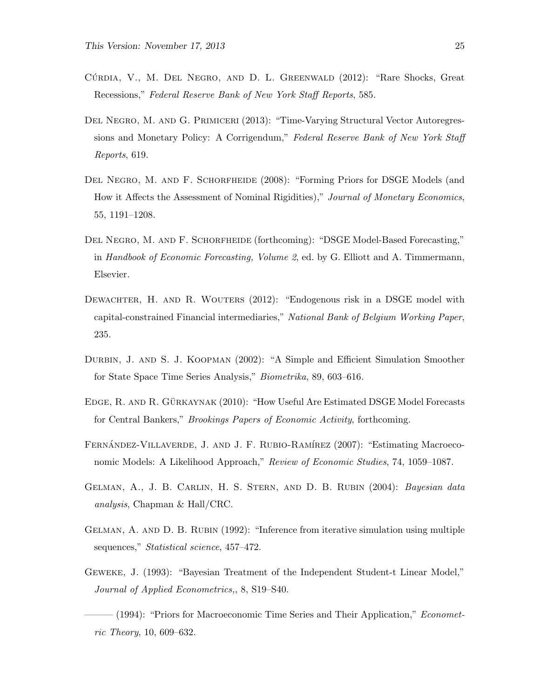- <span id="page-25-8"></span>CÚRDIA, V., M. DEL NEGRO, AND D. L. GREENWALD (2012): "Rare Shocks, Great Recessions," Federal Reserve Bank of New York Staff Reports, 585.
- <span id="page-25-6"></span>DEL NEGRO, M. AND G. PRIMICERI (2013): "Time-Varying Structural Vector Autoregressions and Monetary Policy: A Corrigendum," Federal Reserve Bank of New York Staff Reports, 619.
- <span id="page-25-9"></span>Del Negro, M. and F. Schorfheide (2008): "Forming Priors for DSGE Models (and How it Affects the Assessment of Nominal Rigidities)," Journal of Monetary Economics, 55, 1191–1208.
- <span id="page-25-3"></span>DEL NEGRO, M. AND F. SCHORFHEIDE (forthcoming): "DSGE Model-Based Forecasting," in Handbook of Economic Forecasting, Volume 2, ed. by G. Elliott and A. Timmermann, Elsevier.
- <span id="page-25-4"></span>DEWACHTER, H. AND R. WOUTERS (2012): "Endogenous risk in a DSGE model with capital-constrained Financial intermediaries," National Bank of Belgium Working Paper, 235.
- <span id="page-25-7"></span>Durbin, J. and S. J. Koopman (2002): "A Simple and Efficient Simulation Smoother for State Space Time Series Analysis," Biometrika, 89, 603–616.
- <span id="page-25-2"></span>EDGE, R. AND R. GÜRKAYNAK (2010): "How Useful Are Estimated DSGE Model Forecasts for Central Bankers," Brookings Papers of Economic Activity, forthcoming.
- <span id="page-25-1"></span>FERNÁNDEZ-VILLAVERDE, J. AND J. F. RUBIO-RAMÍREZ (2007): "Estimating Macroeconomic Models: A Likelihood Approach," Review of Economic Studies, 74, 1059–1087.
- Gelman, A., J. B. Carlin, H. S. Stern, and D. B. Rubin (2004): Bayesian data analysis, Chapman & Hall/CRC.
- Gelman, A. and D. B. Rubin (1992): "Inference from iterative simulation using multiple sequences," Statistical science, 457-472.
- <span id="page-25-0"></span>Geweke, J. (1993): "Bayesian Treatment of the Independent Student-t Linear Model," Journal of Applied Econometrics,, 8, S19–S40.

<span id="page-25-5"></span> $-$  (1994): "Priors for Macroeconomic Time Series and Their Application," *Economet*ric Theory, 10, 609–632.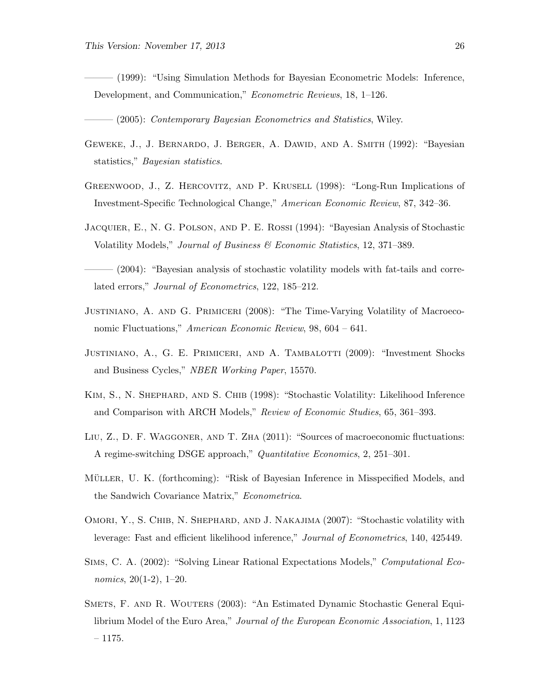——— (1999): "Using Simulation Methods for Bayesian Econometric Models: Inference, Development, and Communication," Econometric Reviews, 18, 1–126.

<span id="page-26-2"></span>(2005): Contemporary Bayesian Econometrics and Statistics, Wiley.

- GEWEKE, J., J. BERNARDO, J. BERGER, A. DAWID, AND A. SMITH (1992): "Bayesian statistics," Bayesian statistics.
- Greenwood, J., Z. Hercovitz, and P. Krusell (1998): "Long-Run Implications of Investment-Specific Technological Change," American Economic Review, 87, 342–36.
- <span id="page-26-5"></span>Jacquier, E., N. G. Polson, and P. E. Rossi (1994): "Bayesian Analysis of Stochastic Volatility Models," Journal of Business & Economic Statistics, 12, 371–389.

<span id="page-26-3"></span> $-$  (2004): "Bayesian analysis of stochastic volatility models with fat-tails and correlated errors," Journal of Econometrics, 122, 185–212.

- <span id="page-26-0"></span>Justiniano, A. and G. Primiceri (2008): "The Time-Varying Volatility of Macroeconomic Fluctuations," American Economic Review, 98, 604 – 641.
- <span id="page-26-8"></span>Justiniano, A., G. E. Primiceri, and A. Tambalotti (2009): "Investment Shocks and Business Cycles," NBER Working Paper, 15570.
- <span id="page-26-4"></span>Kim, S., N. Shephard, and S. Chib (1998): "Stochastic Volatility: Likelihood Inference and Comparison with ARCH Models," Review of Economic Studies, 65, 361–393.
- <span id="page-26-1"></span>Liu, Z., D. F. Waggoner, and T. Zha (2011): "Sources of macroeconomic fluctuations: A regime-switching DSGE approach," Quantitative Economics, 2, 251–301.
- <span id="page-26-9"></span>MÜLLER, U. K. (forthcoming): "Risk of Bayesian Inference in Misspecified Models, and the Sandwich Covariance Matrix," Econometrica.
- <span id="page-26-6"></span>Omori, Y., S. Chib, N. Shephard, and J. Nakajima (2007): "Stochastic volatility with leverage: Fast and efficient likelihood inference," Journal of Econometrics, 140, 425449.
- Sims, C. A. (2002): "Solving Linear Rational Expectations Models," Computational Economics, 20(1-2), 1–20.
- <span id="page-26-7"></span>Smets, F. and R. Wouters (2003): "An Estimated Dynamic Stochastic General Equilibrium Model of the Euro Area," Journal of the European Economic Association, 1, 1123 – 1175.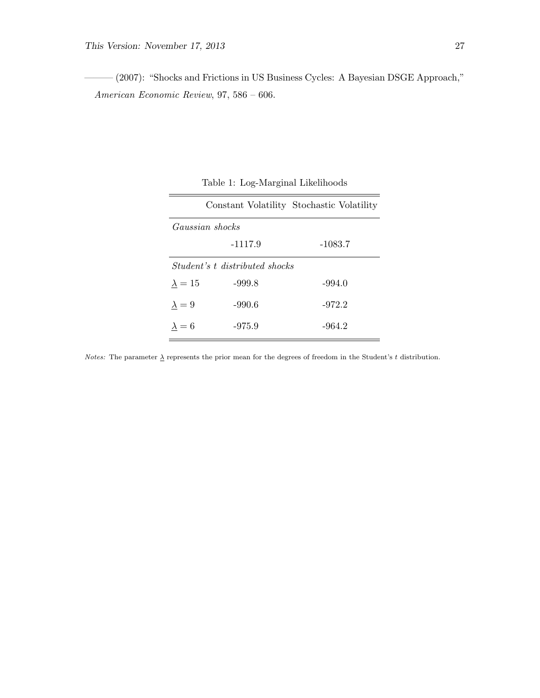<span id="page-27-0"></span>——— (2007): "Shocks and Frictions in US Business Cycles: A Bayesian DSGE Approach," American Economic Review, 97, 586 – 606.

|                |                                       | Constant Volatility Stochastic Volatility |
|----------------|---------------------------------------|-------------------------------------------|
|                | Gaussian shocks                       |                                           |
|                | $-1117.9$                             | -1083.7                                   |
|                | <i>Student's t distributed shocks</i> |                                           |
| $\lambda = 15$ | $-999.8$                              | $-994.0$                                  |
| $\lambda = 9$  | $-990.6$                              | $-972.2$                                  |
| $\lambda = 6$  | $-975.9$                              | -964.2                                    |

<span id="page-27-1"></span>Table 1: Log-Marginal Likelihoods

*Notes:* The parameter  $\lambda$  represents the prior mean for the degrees of freedom in the Student's t distribution.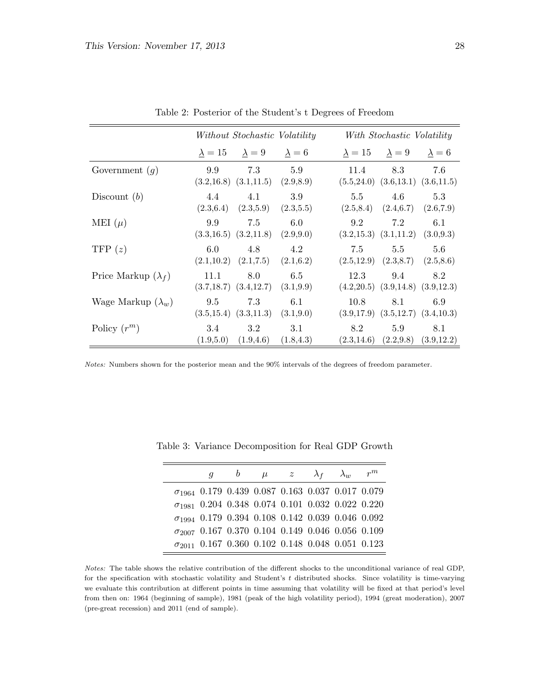|                            | Without Stochastic Volatility |                                                 |                                              | With Stochastic Volatility |                                                       |     |
|----------------------------|-------------------------------|-------------------------------------------------|----------------------------------------------|----------------------------|-------------------------------------------------------|-----|
|                            |                               | $\lambda = 15$ $\lambda = 9$ $\lambda = 6$      |                                              |                            | $\lambda = 15$ $\lambda = 9$ $\lambda = 6$            |     |
| Government $(g)$           | 9.9                           | 7.3                                             | 5.9<br>$(3.2,16.8)$ $(3.1,11.5)$ $(2.9,8.9)$ | 11.4                       | 8.3<br>$(5.5,24.0)$ $(3.6,13.1)$ $(3.6,11.5)$         | 7.6 |
| Discount $(b)$             | 4.4                           | 4.1<br>$(2.3,6.4)$ $(2.3,5.9)$ $(2.3,5.5)$      | 3.9                                          | 5.5                        | 4.6<br>$(2.5,8.4)$ $(2.4,6.7)$ $(2.6,7.9)$            | 5.3 |
| MEI $(\mu)$                | 9.9                           | 7.5<br>$(3.3, 16.5)$ $(3.2, 11.8)$ $(2.9, 9.0)$ | 6.0                                          | $9.2^{\circ}$              | 7.2<br>$(3.2, 15.3)$ $(3.1, 11.2)$ $(3.0, 9.3)$       | 6.1 |
| TFP $(z)$                  | 6.0                           | 4.8<br>$(2.1, 10.2)$ $(2.1, 7.5)$               | 4.2<br>(2.1,6.2)                             | 7.5                        | $5.5^{\circ}$<br>$(2.5,12.9)$ $(2.3,8.7)$ $(2.5,8.6)$ | 5.6 |
| Price Markup $(\lambda_f)$ | 11.1                          | 8.0<br>$(3.7, 18.7)$ $(3.4, 12.7)$ $(3.1, 9.9)$ | 6.5                                          | 12.3                       | 9.4<br>$(4.2,20.5)$ $(3.9,14.8)$ $(3.9,12.3)$         | 8.2 |
| Wage Markup $(\lambda_w)$  | $9.5^{\circ}$                 | 7.3                                             | 6.1<br>$(3.5,15.4)$ $(3.3,11.3)$ $(3.1,9.0)$ | 10.8                       | 8.1<br>$(3.9,17.9)$ $(3.5,12.7)$ $(3.4,10.3)$         | 6.9 |
| Policy $(r^m)$             | 3.4                           | 3.2<br>$(1.9,5.0)$ $(1.9,4.6)$ $(1.8,4.3)$      | 3.1                                          | 8.2                        | 5.9<br>$(2.3, 14.6)$ $(2.2, 9.8)$ $(3.9, 12.2)$       | 8.1 |

<span id="page-28-0"></span>Table 2: Posterior of the Student's t Degrees of Freedom

Notes: Numbers shown for the posterior mean and the 90% intervals of the degrees of freedom parameter.

|  | $q \qquad b$ |                                                           | $\mu \quad z \quad \lambda_f \quad \lambda_w$ |  |
|--|--------------|-----------------------------------------------------------|-----------------------------------------------|--|
|  |              | $\sigma_{1964}$ 0.179 0.439 0.087 0.163 0.037 0.017 0.079 |                                               |  |
|  |              | $\sigma_{1981}$ 0.204 0.348 0.074 0.101 0.032 0.022 0.220 |                                               |  |
|  |              | $\sigma_{1994}$ 0.179 0.394 0.108 0.142 0.039 0.046 0.092 |                                               |  |
|  |              | $\sigma_{2007}$ 0.167 0.370 0.104 0.149 0.046 0.056 0.109 |                                               |  |
|  |              | $\sigma_{2011}$ 0.167 0.360 0.102 0.148 0.048 0.051 0.123 |                                               |  |

<span id="page-28-1"></span>Table 3: Variance Decomposition for Real GDP Growth

Notes: The table shows the relative contribution of the different shocks to the unconditional variance of real GDP, for the specification with stochastic volatility and Student's t distributed shocks. Since volatility is time-varying we evaluate this contribution at different points in time assuming that volatility will be fixed at that period's level from then on: 1964 (beginning of sample), 1981 (peak of the high volatility period), 1994 (great moderation), 2007 (pre-great recession) and 2011 (end of sample).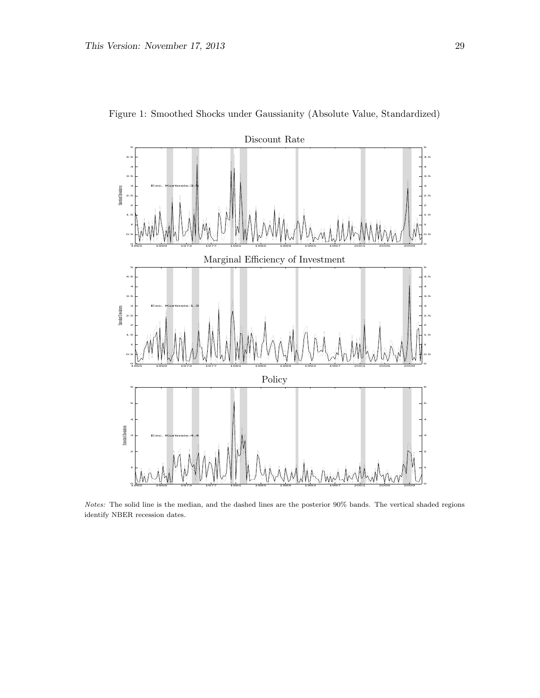

<span id="page-29-0"></span>Figure 1: Smoothed Shocks under Gaussianity (Absolute Value, Standardized)

Notes: The solid line is the median, and the dashed lines are the posterior 90% bands. The vertical shaded regions identify NBER recession dates.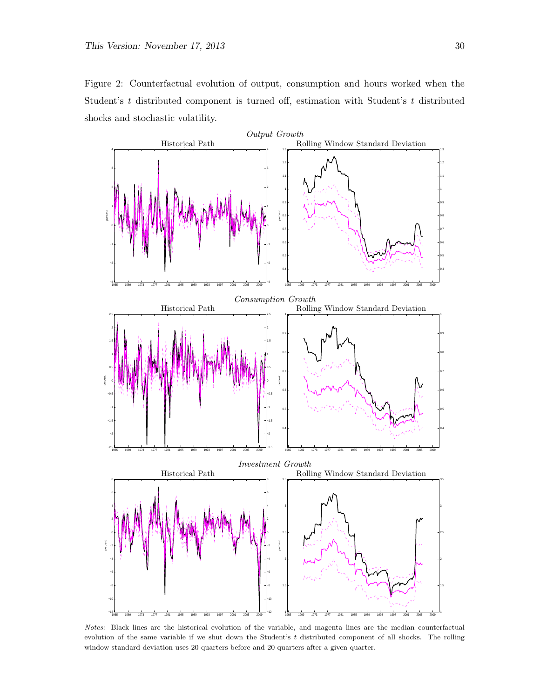<span id="page-30-0"></span>Figure 2: Counterfactual evolution of output, consumption and hours worked when the Student's  $t$  distributed component is turned off, estimation with Student's  $t$  distributed shocks and stochastic volatility.



Notes: Black lines are the historical evolution of the variable, and magenta lines are the median counterfactual evolution of the same variable if we shut down the Student's  $t$  distributed component of all shocks. The rolling window standard deviation uses 20 quarters before and 20 quarters after a given quarter.